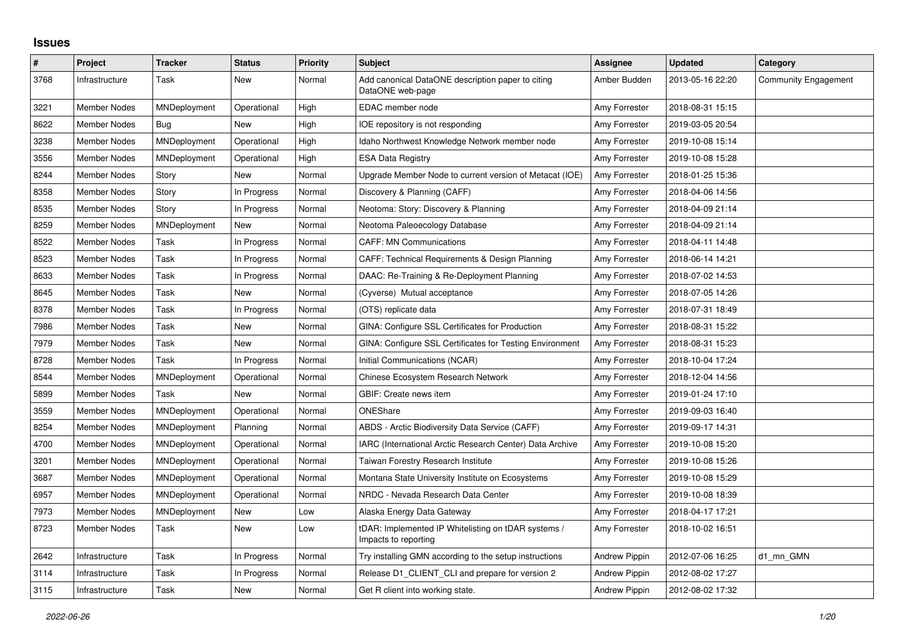## **Issues**

| $\#$ | Project             | <b>Tracker</b> | <b>Status</b> | <b>Priority</b> | <b>Subject</b>                                                              | Assignee             | <b>Updated</b>   | Category             |
|------|---------------------|----------------|---------------|-----------------|-----------------------------------------------------------------------------|----------------------|------------------|----------------------|
| 3768 | Infrastructure      | Task           | New           | Normal          | Add canonical DataONE description paper to citing<br>DataONE web-page       | Amber Budden         | 2013-05-16 22:20 | Community Engagement |
| 3221 | <b>Member Nodes</b> | MNDeployment   | Operational   | High            | EDAC member node                                                            | Amy Forrester        | 2018-08-31 15:15 |                      |
| 8622 | <b>Member Nodes</b> | <b>Bug</b>     | <b>New</b>    | High            | IOE repository is not responding                                            | Amy Forrester        | 2019-03-05 20:54 |                      |
| 3238 | Member Nodes        | MNDeployment   | Operational   | High            | Idaho Northwest Knowledge Network member node                               | Amy Forrester        | 2019-10-08 15:14 |                      |
| 3556 | Member Nodes        | MNDeployment   | Operational   | High            | <b>ESA Data Registry</b>                                                    | Amy Forrester        | 2019-10-08 15:28 |                      |
| 8244 | <b>Member Nodes</b> | Story          | <b>New</b>    | Normal          | Upgrade Member Node to current version of Metacat (IOE)                     | Amy Forrester        | 2018-01-25 15:36 |                      |
| 8358 | Member Nodes        | Story          | In Progress   | Normal          | Discovery & Planning (CAFF)                                                 | Amy Forrester        | 2018-04-06 14:56 |                      |
| 8535 | Member Nodes        | Story          | In Progress   | Normal          | Neotoma: Story: Discovery & Planning                                        | Amy Forrester        | 2018-04-09 21:14 |                      |
| 8259 | Member Nodes        | MNDeployment   | <b>New</b>    | Normal          | Neotoma Paleoecology Database                                               | Amy Forrester        | 2018-04-09 21:14 |                      |
| 8522 | Member Nodes        | Task           | In Progress   | Normal          | <b>CAFF: MN Communications</b>                                              | Amy Forrester        | 2018-04-11 14:48 |                      |
| 8523 | Member Nodes        | Task           | In Progress   | Normal          | CAFF: Technical Requirements & Design Planning                              | Amy Forrester        | 2018-06-14 14:21 |                      |
| 8633 | <b>Member Nodes</b> | Task           | In Progress   | Normal          | DAAC: Re-Training & Re-Deployment Planning                                  | Amy Forrester        | 2018-07-02 14:53 |                      |
| 8645 | Member Nodes        | Task           | New           | Normal          | (Cyverse) Mutual acceptance                                                 | Amy Forrester        | 2018-07-05 14:26 |                      |
| 8378 | Member Nodes        | Task           | In Progress   | Normal          | (OTS) replicate data                                                        | Amy Forrester        | 2018-07-31 18:49 |                      |
| 7986 | <b>Member Nodes</b> | Task           | <b>New</b>    | Normal          | GINA: Configure SSL Certificates for Production                             | Amy Forrester        | 2018-08-31 15:22 |                      |
| 7979 | <b>Member Nodes</b> | Task           | <b>New</b>    | Normal          | GINA: Configure SSL Certificates for Testing Environment                    | Amy Forrester        | 2018-08-31 15:23 |                      |
| 8728 | Member Nodes        | Task           | In Progress   | Normal          | Initial Communications (NCAR)                                               | Amy Forrester        | 2018-10-04 17:24 |                      |
| 8544 | <b>Member Nodes</b> | MNDeployment   | Operational   | Normal          | <b>Chinese Ecosystem Research Network</b>                                   | Amy Forrester        | 2018-12-04 14:56 |                      |
| 5899 | <b>Member Nodes</b> | Task           | <b>New</b>    | Normal          | GBIF: Create news item                                                      | Amy Forrester        | 2019-01-24 17:10 |                      |
| 3559 | Member Nodes        | MNDeployment   | Operational   | Normal          | ONEShare                                                                    | Amy Forrester        | 2019-09-03 16:40 |                      |
| 8254 | <b>Member Nodes</b> | MNDeployment   | Planning      | Normal          | <b>ABDS - Arctic Biodiversity Data Service (CAFF)</b>                       | Amy Forrester        | 2019-09-17 14:31 |                      |
| 4700 | <b>Member Nodes</b> | MNDeployment   | Operational   | Normal          | IARC (International Arctic Research Center) Data Archive                    | Amy Forrester        | 2019-10-08 15:20 |                      |
| 3201 | <b>Member Nodes</b> | MNDeployment   | Operational   | Normal          | Taiwan Forestry Research Institute                                          | Amy Forrester        | 2019-10-08 15:26 |                      |
| 3687 | <b>Member Nodes</b> | MNDeployment   | Operational   | Normal          | Montana State University Institute on Ecosystems                            | Amy Forrester        | 2019-10-08 15:29 |                      |
| 6957 | <b>Member Nodes</b> | MNDeployment   | Operational   | Normal          | NRDC - Nevada Research Data Center                                          | Amy Forrester        | 2019-10-08 18:39 |                      |
| 7973 | Member Nodes        | MNDeployment   | New           | Low             | Alaska Energy Data Gateway                                                  | Amy Forrester        | 2018-04-17 17:21 |                      |
| 8723 | Member Nodes        | Task           | <b>New</b>    | Low             | tDAR: Implemented IP Whitelisting on tDAR systems /<br>Impacts to reporting | Amy Forrester        | 2018-10-02 16:51 |                      |
| 2642 | Infrastructure      | Task           | In Progress   | Normal          | Try installing GMN according to the setup instructions                      | <b>Andrew Pippin</b> | 2012-07-06 16:25 | d1 mn GMN            |
| 3114 | Infrastructure      | Task           | In Progress   | Normal          | Release D1 CLIENT CLI and prepare for version 2                             | <b>Andrew Pippin</b> | 2012-08-02 17:27 |                      |
| 3115 | Infrastructure      | Task           | New           | Normal          | Get R client into working state.                                            | <b>Andrew Pippin</b> | 2012-08-02 17:32 |                      |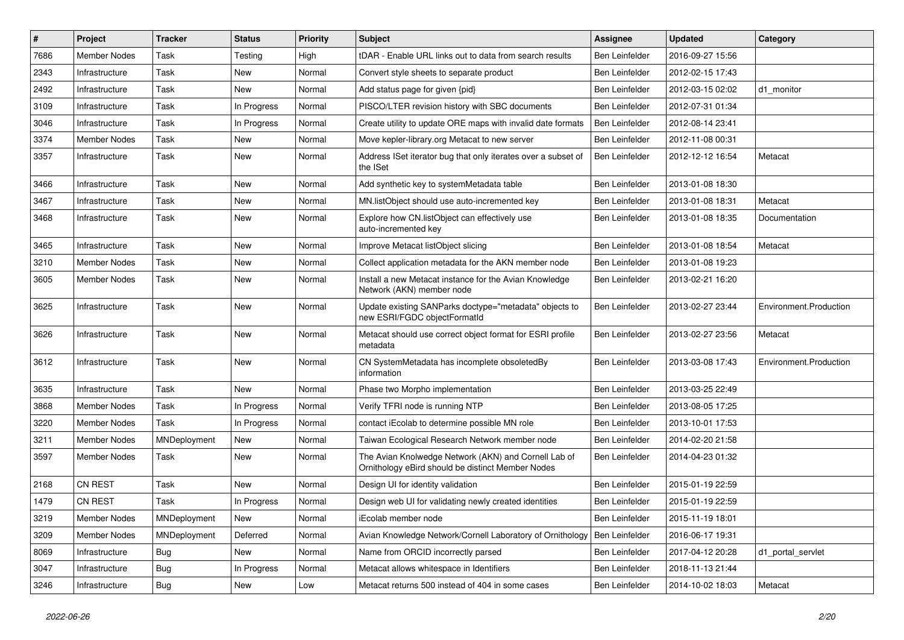| #    | Project             | <b>Tracker</b> | <b>Status</b> | <b>Priority</b> | <b>Subject</b>                                                                                            | Assignee              | <b>Updated</b>   | Category               |
|------|---------------------|----------------|---------------|-----------------|-----------------------------------------------------------------------------------------------------------|-----------------------|------------------|------------------------|
| 7686 | <b>Member Nodes</b> | Task           | Testing       | High            | tDAR - Enable URL links out to data from search results                                                   | Ben Leinfelder        | 2016-09-27 15:56 |                        |
| 2343 | Infrastructure      | Task           | New           | Normal          | Convert style sheets to separate product                                                                  | Ben Leinfelder        | 2012-02-15 17:43 |                        |
| 2492 | Infrastructure      | Task           | New           | Normal          | Add status page for given {pid}                                                                           | Ben Leinfelder        | 2012-03-15 02:02 | d1 monitor             |
| 3109 | Infrastructure      | Task           | In Progress   | Normal          | PISCO/LTER revision history with SBC documents                                                            | Ben Leinfelder        | 2012-07-31 01:34 |                        |
| 3046 | Infrastructure      | Task           | In Progress   | Normal          | Create utility to update ORE maps with invalid date formats                                               | <b>Ben Leinfelder</b> | 2012-08-14 23:41 |                        |
| 3374 | Member Nodes        | Task           | New           | Normal          | Move kepler-library.org Metacat to new server                                                             | Ben Leinfelder        | 2012-11-08 00:31 |                        |
| 3357 | Infrastructure      | Task           | New           | Normal          | Address ISet iterator bug that only iterates over a subset of<br>the ISet                                 | Ben Leinfelder        | 2012-12-12 16:54 | Metacat                |
| 3466 | Infrastructure      | Task           | New           | Normal          | Add synthetic key to systemMetadata table                                                                 | Ben Leinfelder        | 2013-01-08 18:30 |                        |
| 3467 | Infrastructure      | Task           | New           | Normal          | MN.listObject should use auto-incremented key                                                             | Ben Leinfelder        | 2013-01-08 18:31 | Metacat                |
| 3468 | Infrastructure      | Task           | New           | Normal          | Explore how CN.listObject can effectively use<br>auto-incremented key                                     | Ben Leinfelder        | 2013-01-08 18:35 | Documentation          |
| 3465 | Infrastructure      | Task           | <b>New</b>    | Normal          | Improve Metacat listObject slicing                                                                        | Ben Leinfelder        | 2013-01-08 18:54 | Metacat                |
| 3210 | Member Nodes        | Task           | New           | Normal          | Collect application metadata for the AKN member node                                                      | Ben Leinfelder        | 2013-01-08 19:23 |                        |
| 3605 | <b>Member Nodes</b> | Task           | New           | Normal          | Install a new Metacat instance for the Avian Knowledge<br>Network (AKN) member node                       | Ben Leinfelder        | 2013-02-21 16:20 |                        |
| 3625 | Infrastructure      | Task           | New           | Normal          | Update existing SANParks doctype="metadata" objects to<br>new ESRI/FGDC objectFormatId                    | Ben Leinfelder        | 2013-02-27 23:44 | Environment.Production |
| 3626 | Infrastructure      | Task           | New           | Normal          | Metacat should use correct object format for ESRI profile<br>metadata                                     | Ben Leinfelder        | 2013-02-27 23:56 | Metacat                |
| 3612 | Infrastructure      | Task           | New           | Normal          | CN SystemMetadata has incomplete obsoletedBy<br>information                                               | Ben Leinfelder        | 2013-03-08 17:43 | Environment.Production |
| 3635 | Infrastructure      | Task           | New           | Normal          | Phase two Morpho implementation                                                                           | Ben Leinfelder        | 2013-03-25 22:49 |                        |
| 3868 | Member Nodes        | Task           | In Progress   | Normal          | Verify TFRI node is running NTP                                                                           | Ben Leinfelder        | 2013-08-05 17:25 |                        |
| 3220 | <b>Member Nodes</b> | Task           | In Progress   | Normal          | contact iEcolab to determine possible MN role                                                             | Ben Leinfelder        | 2013-10-01 17:53 |                        |
| 3211 | <b>Member Nodes</b> | MNDeployment   | New           | Normal          | Taiwan Ecological Research Network member node                                                            | Ben Leinfelder        | 2014-02-20 21:58 |                        |
| 3597 | Member Nodes        | Task           | New           | Normal          | The Avian Knolwedge Network (AKN) and Cornell Lab of<br>Ornithology eBird should be distinct Member Nodes | Ben Leinfelder        | 2014-04-23 01:32 |                        |
| 2168 | <b>CN REST</b>      | Task           | New           | Normal          | Design UI for identity validation                                                                         | Ben Leinfelder        | 2015-01-19 22:59 |                        |
| 1479 | <b>CN REST</b>      | Task           | In Progress   | Normal          | Design web UI for validating newly created identities                                                     | Ben Leinfelder        | 2015-01-19 22:59 |                        |
| 3219 | <b>Member Nodes</b> | MNDeployment   | New           | Normal          | iEcolab member node                                                                                       | Ben Leinfelder        | 2015-11-19 18:01 |                        |
| 3209 | Member Nodes        | MNDeployment   | Deferred      | Normal          | Avian Knowledge Network/Cornell Laboratory of Ornithology                                                 | Ben Leinfelder        | 2016-06-17 19:31 |                        |
| 8069 | Infrastructure      | Bug            | New           | Normal          | Name from ORCID incorrectly parsed                                                                        | Ben Leinfelder        | 2017-04-12 20:28 | d1_portal_servlet      |
| 3047 | Infrastructure      | <b>Bug</b>     | In Progress   | Normal          | Metacat allows whitespace in Identifiers                                                                  | Ben Leinfelder        | 2018-11-13 21:44 |                        |
| 3246 | Infrastructure      | <b>Bug</b>     | New           | Low             | Metacat returns 500 instead of 404 in some cases                                                          | Ben Leinfelder        | 2014-10-02 18:03 | Metacat                |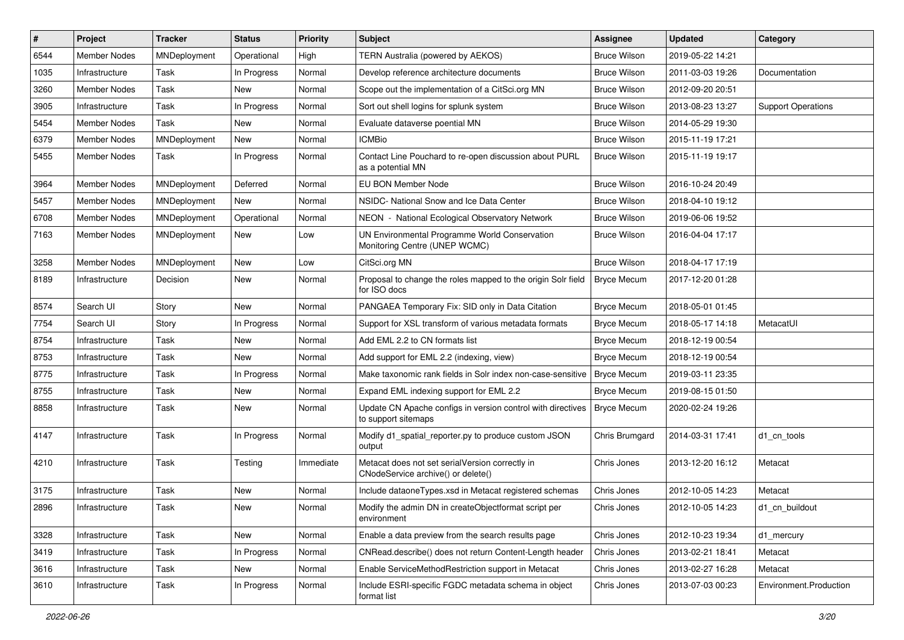| #    | Project             | <b>Tracker</b> | <b>Status</b> | <b>Priority</b> | <b>Subject</b>                                                                        | <b>Assignee</b>     | <b>Updated</b>   | Category                  |
|------|---------------------|----------------|---------------|-----------------|---------------------------------------------------------------------------------------|---------------------|------------------|---------------------------|
| 6544 | <b>Member Nodes</b> | MNDeployment   | Operational   | High            | TERN Australia (powered by AEKOS)                                                     | <b>Bruce Wilson</b> | 2019-05-22 14:21 |                           |
| 1035 | Infrastructure      | Task           | In Progress   | Normal          | Develop reference architecture documents                                              | <b>Bruce Wilson</b> | 2011-03-03 19:26 | Documentation             |
| 3260 | Member Nodes        | Task           | New           | Normal          | Scope out the implementation of a CitSci.org MN                                       | <b>Bruce Wilson</b> | 2012-09-20 20:51 |                           |
| 3905 | Infrastructure      | Task           | In Progress   | Normal          | Sort out shell logins for splunk system                                               | <b>Bruce Wilson</b> | 2013-08-23 13:27 | <b>Support Operations</b> |
| 5454 | <b>Member Nodes</b> | Task           | New           | Normal          | Evaluate dataverse poential MN                                                        | <b>Bruce Wilson</b> | 2014-05-29 19:30 |                           |
| 6379 | <b>Member Nodes</b> | MNDeployment   | New           | Normal          | <b>ICMBio</b>                                                                         | <b>Bruce Wilson</b> | 2015-11-19 17:21 |                           |
| 5455 | Member Nodes        | Task           | In Progress   | Normal          | Contact Line Pouchard to re-open discussion about PURL<br>as a potential MN           | <b>Bruce Wilson</b> | 2015-11-19 19:17 |                           |
| 3964 | <b>Member Nodes</b> | MNDeployment   | Deferred      | Normal          | EU BON Member Node                                                                    | <b>Bruce Wilson</b> | 2016-10-24 20:49 |                           |
| 5457 | Member Nodes        | MNDeployment   | New           | Normal          | NSIDC- National Snow and Ice Data Center                                              | <b>Bruce Wilson</b> | 2018-04-10 19:12 |                           |
| 6708 | <b>Member Nodes</b> | MNDeployment   | Operational   | Normal          | NEON - National Ecological Observatory Network                                        | <b>Bruce Wilson</b> | 2019-06-06 19:52 |                           |
| 7163 | Member Nodes        | MNDeployment   | <b>New</b>    | Low             | UN Environmental Programme World Conservation<br>Monitoring Centre (UNEP WCMC)        | <b>Bruce Wilson</b> | 2016-04-04 17:17 |                           |
| 3258 | <b>Member Nodes</b> | MNDeployment   | New           | Low             | CitSci.org MN                                                                         | <b>Bruce Wilson</b> | 2018-04-17 17:19 |                           |
| 8189 | Infrastructure      | Decision       | New           | Normal          | Proposal to change the roles mapped to the origin Solr field<br>for ISO docs          | <b>Bryce Mecum</b>  | 2017-12-20 01:28 |                           |
| 8574 | Search UI           | Story          | New           | Normal          | PANGAEA Temporary Fix: SID only in Data Citation                                      | <b>Bryce Mecum</b>  | 2018-05-01 01:45 |                           |
| 7754 | Search UI           | Story          | In Progress   | Normal          | Support for XSL transform of various metadata formats                                 | <b>Bryce Mecum</b>  | 2018-05-17 14:18 | MetacatUI                 |
| 8754 | Infrastructure      | Task           | New           | Normal          | Add EML 2.2 to CN formats list                                                        | <b>Bryce Mecum</b>  | 2018-12-19 00:54 |                           |
| 8753 | Infrastructure      | Task           | New           | Normal          | Add support for EML 2.2 (indexing, view)                                              | <b>Bryce Mecum</b>  | 2018-12-19 00:54 |                           |
| 8775 | Infrastructure      | Task           | In Progress   | Normal          | Make taxonomic rank fields in Solr index non-case-sensitive                           | <b>Bryce Mecum</b>  | 2019-03-11 23:35 |                           |
| 8755 | Infrastructure      | Task           | New           | Normal          | Expand EML indexing support for EML 2.2                                               | <b>Bryce Mecum</b>  | 2019-08-15 01:50 |                           |
| 8858 | Infrastructure      | Task           | New           | Normal          | Update CN Apache configs in version control with directives<br>to support sitemaps    | <b>Bryce Mecum</b>  | 2020-02-24 19:26 |                           |
| 4147 | Infrastructure      | Task           | In Progress   | Normal          | Modify d1_spatial_reporter.py to produce custom JSON<br>output                        | Chris Brumgard      | 2014-03-31 17:41 | d1 cn tools               |
| 4210 | Infrastructure      | Task           | Testing       | Immediate       | Metacat does not set serialVersion correctly in<br>CNodeService archive() or delete() | Chris Jones         | 2013-12-20 16:12 | Metacat                   |
| 3175 | Infrastructure      | Task           | New           | Normal          | Include dataoneTypes.xsd in Metacat registered schemas                                | Chris Jones         | 2012-10-05 14:23 | Metacat                   |
| 2896 | Infrastructure      | Task           | New           | Normal          | Modify the admin DN in createObjectformat script per<br>environment                   | Chris Jones         | 2012-10-05 14:23 | d1 cn buildout            |
| 3328 | Infrastructure      | Task           | New           | Normal          | Enable a data preview from the search results page                                    | Chris Jones         | 2012-10-23 19:34 | d1 mercury                |
| 3419 | Infrastructure      | Task           | In Progress   | Normal          | CNRead.describe() does not return Content-Length header                               | Chris Jones         | 2013-02-21 18:41 | Metacat                   |
| 3616 | Infrastructure      | Task           | New           | Normal          | Enable ServiceMethodRestriction support in Metacat                                    | Chris Jones         | 2013-02-27 16:28 | Metacat                   |
| 3610 | Infrastructure      | Task           | In Progress   | Normal          | Include ESRI-specific FGDC metadata schema in object<br>format list                   | Chris Jones         | 2013-07-03 00:23 | Environment.Production    |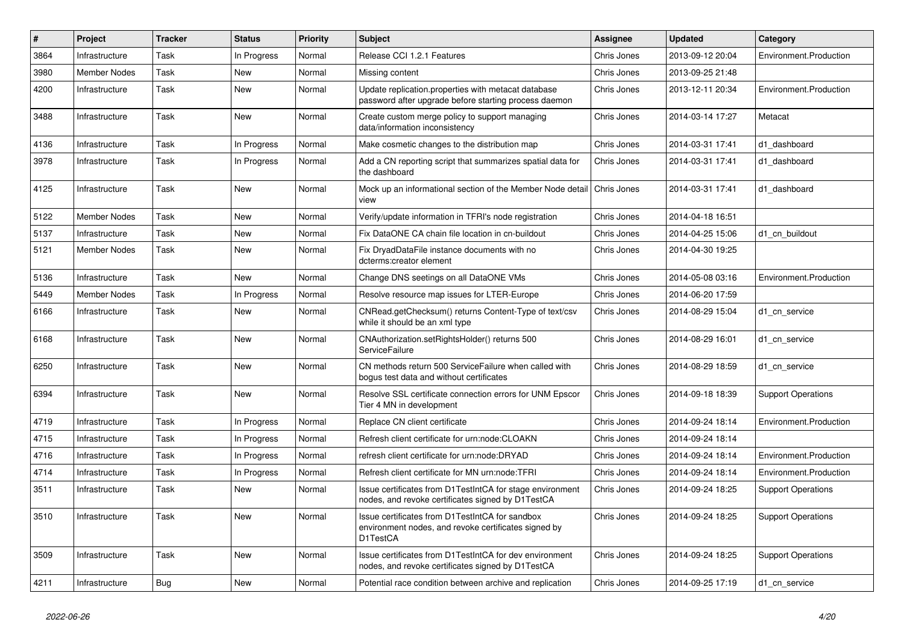| #    | Project             | <b>Tracker</b> | <b>Status</b> | <b>Priority</b> | <b>Subject</b>                                                                                                      | Assignee    | <b>Updated</b>   | Category                  |
|------|---------------------|----------------|---------------|-----------------|---------------------------------------------------------------------------------------------------------------------|-------------|------------------|---------------------------|
| 3864 | Infrastructure      | Task           | In Progress   | Normal          | Release CCI 1.2.1 Features                                                                                          | Chris Jones | 2013-09-12 20:04 | Environment.Production    |
| 3980 | <b>Member Nodes</b> | Task           | <b>New</b>    | Normal          | Missing content                                                                                                     | Chris Jones | 2013-09-25 21:48 |                           |
| 4200 | Infrastructure      | Task           | <b>New</b>    | Normal          | Update replication.properties with metacat database<br>password after upgrade before starting process daemon        | Chris Jones | 2013-12-11 20:34 | Environment.Production    |
| 3488 | Infrastructure      | Task           | New           | Normal          | Create custom merge policy to support managing<br>data/information inconsistency                                    | Chris Jones | 2014-03-14 17:27 | Metacat                   |
| 4136 | Infrastructure      | Task           | In Progress   | Normal          | Make cosmetic changes to the distribution map                                                                       | Chris Jones | 2014-03-31 17:41 | d1 dashboard              |
| 3978 | Infrastructure      | Task           | In Progress   | Normal          | Add a CN reporting script that summarizes spatial data for<br>the dashboard                                         | Chris Jones | 2014-03-31 17:41 | d1 dashboard              |
| 4125 | Infrastructure      | Task           | New           | Normal          | Mock up an informational section of the Member Node detail<br>view                                                  | Chris Jones | 2014-03-31 17:41 | d1 dashboard              |
| 5122 | <b>Member Nodes</b> | Task           | <b>New</b>    | Normal          | Verify/update information in TFRI's node registration                                                               | Chris Jones | 2014-04-18 16:51 |                           |
| 5137 | Infrastructure      | Task           | <b>New</b>    | Normal          | Fix DataONE CA chain file location in cn-buildout                                                                   | Chris Jones | 2014-04-25 15:06 | d1 cn buildout            |
| 5121 | <b>Member Nodes</b> | Task           | <b>New</b>    | Normal          | Fix DryadDataFile instance documents with no<br>dcterms:creator element                                             | Chris Jones | 2014-04-30 19:25 |                           |
| 5136 | Infrastructure      | Task           | New           | Normal          | Change DNS seetings on all DataONE VMs                                                                              | Chris Jones | 2014-05-08 03:16 | Environment.Production    |
| 5449 | <b>Member Nodes</b> | Task           | In Progress   | Normal          | Resolve resource map issues for LTER-Europe                                                                         | Chris Jones | 2014-06-20 17:59 |                           |
| 6166 | Infrastructure      | Task           | <b>New</b>    | Normal          | CNRead.getChecksum() returns Content-Type of text/csv<br>while it should be an xml type                             | Chris Jones | 2014-08-29 15:04 | d1_cn_service             |
| 6168 | Infrastructure      | Task           | New           | Normal          | CNAuthorization.setRightsHolder() returns 500<br>ServiceFailure                                                     | Chris Jones | 2014-08-29 16:01 | d1 cn service             |
| 6250 | Infrastructure      | Task           | <b>New</b>    | Normal          | CN methods return 500 ServiceFailure when called with<br>bogus test data and without certificates                   | Chris Jones | 2014-08-29 18:59 | d1_cn_service             |
| 6394 | Infrastructure      | Task           | <b>New</b>    | Normal          | Resolve SSL certificate connection errors for UNM Epscor<br>Tier 4 MN in development                                | Chris Jones | 2014-09-18 18:39 | <b>Support Operations</b> |
| 4719 | Infrastructure      | Task           | In Progress   | Normal          | Replace CN client certificate                                                                                       | Chris Jones | 2014-09-24 18:14 | Environment.Production    |
| 4715 | Infrastructure      | Task           | In Progress   | Normal          | Refresh client certificate for urn:node:CLOAKN                                                                      | Chris Jones | 2014-09-24 18:14 |                           |
| 4716 | Infrastructure      | Task           | In Progress   | Normal          | refresh client certificate for urn:node:DRYAD                                                                       | Chris Jones | 2014-09-24 18:14 | Environment.Production    |
| 4714 | Infrastructure      | Task           | In Progress   | Normal          | Refresh client certificate for MN urn:node:TFRI                                                                     | Chris Jones | 2014-09-24 18:14 | Environment.Production    |
| 3511 | Infrastructure      | Task           | New           | Normal          | Issue certificates from D1TestIntCA for stage environment<br>nodes, and revoke certificates signed by D1TestCA      | Chris Jones | 2014-09-24 18:25 | <b>Support Operations</b> |
| 3510 | Infrastructure      | Task           | <b>New</b>    | Normal          | Issue certificates from D1TestIntCA for sandbox<br>environment nodes, and revoke certificates signed by<br>D1TestCA | Chris Jones | 2014-09-24 18:25 | <b>Support Operations</b> |
| 3509 | Infrastructure      | Task           | New           | Normal          | Issue certificates from D1TestIntCA for dev environment<br>nodes, and revoke certificates signed by D1TestCA        | Chris Jones | 2014-09-24 18:25 | <b>Support Operations</b> |
| 4211 | Infrastructure      | Bug            | New           | Normal          | Potential race condition between archive and replication                                                            | Chris Jones | 2014-09-25 17:19 | d1_cn_service             |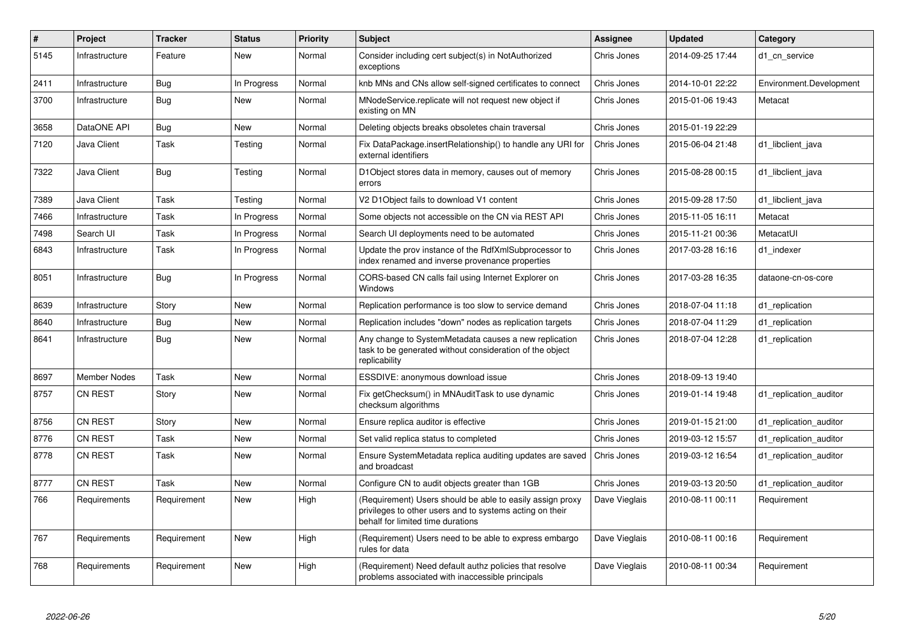| $\#$ | Project             | <b>Tracker</b> | <b>Status</b> | <b>Priority</b> | <b>Subject</b>                                                                                                                                             | Assignee      | <b>Updated</b>   | Category                |
|------|---------------------|----------------|---------------|-----------------|------------------------------------------------------------------------------------------------------------------------------------------------------------|---------------|------------------|-------------------------|
| 5145 | Infrastructure      | Feature        | <b>New</b>    | Normal          | Consider including cert subject(s) in NotAuthorized<br>exceptions                                                                                          | Chris Jones   | 2014-09-25 17:44 | d1 cn service           |
| 2411 | Infrastructure      | Bug            | In Progress   | Normal          | knb MNs and CNs allow self-signed certificates to connect                                                                                                  | Chris Jones   | 2014-10-01 22:22 | Environment.Development |
| 3700 | Infrastructure      | Bug            | New           | Normal          | MNodeService.replicate will not request new object if<br>existing on MN                                                                                    | Chris Jones   | 2015-01-06 19:43 | Metacat                 |
| 3658 | DataONE API         | Bug            | New           | Normal          | Deleting objects breaks obsoletes chain traversal                                                                                                          | Chris Jones   | 2015-01-19 22:29 |                         |
| 7120 | Java Client         | Task           | Testing       | Normal          | Fix DataPackage.insertRelationship() to handle any URI for<br>external identifiers                                                                         | Chris Jones   | 2015-06-04 21:48 | d1_libclient_java       |
| 7322 | Java Client         | <b>Bug</b>     | Testing       | Normal          | D1Object stores data in memory, causes out of memory<br>errors                                                                                             | Chris Jones   | 2015-08-28 00:15 | d1 libclient java       |
| 7389 | Java Client         | Task           | Testing       | Normal          | V2 D1Object fails to download V1 content                                                                                                                   | Chris Jones   | 2015-09-28 17:50 | d1_libclient_java       |
| 7466 | Infrastructure      | Task           | In Progress   | Normal          | Some objects not accessible on the CN via REST API                                                                                                         | Chris Jones   | 2015-11-05 16:11 | Metacat                 |
| 7498 | Search UI           | Task           | In Progress   | Normal          | Search UI deployments need to be automated                                                                                                                 | Chris Jones   | 2015-11-21 00:36 | MetacatUI               |
| 6843 | Infrastructure      | Task           | In Progress   | Normal          | Update the prov instance of the RdfXmlSubprocessor to<br>index renamed and inverse provenance properties                                                   | Chris Jones   | 2017-03-28 16:16 | d1 indexer              |
| 8051 | Infrastructure      | Bug            | In Progress   | Normal          | CORS-based CN calls fail using Internet Explorer on<br>Windows                                                                                             | Chris Jones   | 2017-03-28 16:35 | dataone-cn-os-core      |
| 8639 | Infrastructure      | Story          | New           | Normal          | Replication performance is too slow to service demand                                                                                                      | Chris Jones   | 2018-07-04 11:18 | d1_replication          |
| 8640 | Infrastructure      | <b>Bug</b>     | New           | Normal          | Replication includes "down" nodes as replication targets                                                                                                   | Chris Jones   | 2018-07-04 11:29 | d1 replication          |
| 8641 | Infrastructure      | <b>Bug</b>     | <b>New</b>    | Normal          | Any change to SystemMetadata causes a new replication<br>task to be generated without consideration of the object<br>replicability                         | Chris Jones   | 2018-07-04 12:28 | d1_replication          |
| 8697 | <b>Member Nodes</b> | Task           | <b>New</b>    | Normal          | ESSDIVE: anonymous download issue                                                                                                                          | Chris Jones   | 2018-09-13 19:40 |                         |
| 8757 | <b>CN REST</b>      | Story          | <b>New</b>    | Normal          | Fix getChecksum() in MNAuditTask to use dynamic<br>checksum algorithms                                                                                     | Chris Jones   | 2019-01-14 19:48 | d1 replication auditor  |
| 8756 | <b>CN REST</b>      | Story          | <b>New</b>    | Normal          | Ensure replica auditor is effective                                                                                                                        | Chris Jones   | 2019-01-15 21:00 | d1 replication auditor  |
| 8776 | <b>CN REST</b>      | Task           | New           | Normal          | Set valid replica status to completed                                                                                                                      | Chris Jones   | 2019-03-12 15:57 | d1 replication auditor  |
| 8778 | CN REST             | Task           | <b>New</b>    | Normal          | Ensure SystemMetadata replica auditing updates are saved<br>and broadcast                                                                                  | Chris Jones   | 2019-03-12 16:54 | d1 replication auditor  |
| 8777 | <b>CN REST</b>      | Task           | <b>New</b>    | Normal          | Configure CN to audit objects greater than 1GB                                                                                                             | Chris Jones   | 2019-03-13 20:50 | d1 replication auditor  |
| 766  | Requirements        | Requirement    | New           | High            | (Requirement) Users should be able to easily assign proxy<br>privileges to other users and to systems acting on their<br>behalf for limited time durations | Dave Vieglais | 2010-08-11 00:11 | Requirement             |
| 767  | Requirements        | Requirement    | <b>New</b>    | High            | (Requirement) Users need to be able to express embargo<br>rules for data                                                                                   | Dave Vieglais | 2010-08-11 00:16 | Requirement             |
| 768  | Requirements        | Requirement    | <b>New</b>    | High            | (Requirement) Need default authz policies that resolve<br>problems associated with inaccessible principals                                                 | Dave Vieglais | 2010-08-11 00:34 | Requirement             |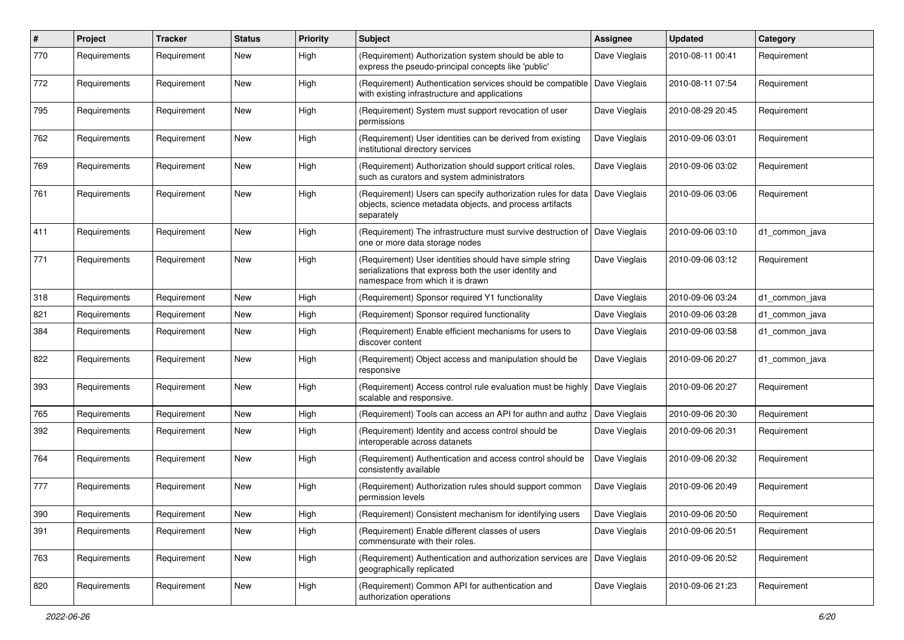| $\#$ | Project      | <b>Tracker</b> | <b>Status</b> | <b>Priority</b> | <b>Subject</b>                                                                                                                                        | <b>Assignee</b> | <b>Updated</b>   | Category       |
|------|--------------|----------------|---------------|-----------------|-------------------------------------------------------------------------------------------------------------------------------------------------------|-----------------|------------------|----------------|
| 770  | Requirements | Requirement    | New           | High            | (Requirement) Authorization system should be able to<br>express the pseudo-principal concepts like 'public'                                           | Dave Vieglais   | 2010-08-11 00:41 | Requirement    |
| 772  | Requirements | Requirement    | New           | High            | (Requirement) Authentication services should be compatible<br>with existing infrastructure and applications                                           | Dave Vieglais   | 2010-08-11 07:54 | Requirement    |
| 795  | Requirements | Requirement    | New           | High            | (Requirement) System must support revocation of user<br>permissions                                                                                   | Dave Vieglais   | 2010-08-29 20:45 | Requirement    |
| 762  | Requirements | Requirement    | New           | High            | (Requirement) User identities can be derived from existing<br>institutional directory services                                                        | Dave Vieglais   | 2010-09-06 03:01 | Requirement    |
| 769  | Requirements | Requirement    | New           | High            | (Requirement) Authorization should support critical roles,<br>such as curators and system administrators                                              | Dave Vieglais   | 2010-09-06 03:02 | Requirement    |
| 761  | Requirements | Requirement    | New           | High            | (Requirement) Users can specify authorization rules for data<br>objects, science metadata objects, and process artifacts<br>separately                | Dave Vieglais   | 2010-09-06 03:06 | Requirement    |
| 411  | Requirements | Requirement    | New           | High            | (Requirement) The infrastructure must survive destruction of<br>one or more data storage nodes                                                        | Dave Vieglais   | 2010-09-06 03:10 | d1 common java |
| 771  | Requirements | Requirement    | New           | High            | (Requirement) User identities should have simple string<br>serializations that express both the user identity and<br>namespace from which it is drawn | Dave Vieglais   | 2010-09-06 03:12 | Requirement    |
| 318  | Requirements | Requirement    | New           | High            | (Requirement) Sponsor required Y1 functionality                                                                                                       | Dave Vieglais   | 2010-09-06 03:24 | d1 common java |
| 821  | Requirements | Requirement    | New           | High            | (Requirement) Sponsor required functionality                                                                                                          | Dave Vieglais   | 2010-09-06 03:28 | d1 common java |
| 384  | Requirements | Requirement    | New           | High            | (Requirement) Enable efficient mechanisms for users to<br>discover content                                                                            | Dave Vieglais   | 2010-09-06 03:58 | d1_common_java |
| 822  | Requirements | Requirement    | New           | High            | (Requirement) Object access and manipulation should be<br>responsive                                                                                  | Dave Vieglais   | 2010-09-06 20:27 | d1 common java |
| 393  | Requirements | Requirement    | New           | High            | (Requirement) Access control rule evaluation must be highly   Dave Vieglais<br>scalable and responsive.                                               |                 | 2010-09-06 20:27 | Requirement    |
| 765  | Requirements | Requirement    | New           | High            | (Requirement) Tools can access an API for authn and authz                                                                                             | Dave Vieglais   | 2010-09-06 20:30 | Requirement    |
| 392  | Requirements | Requirement    | New           | High            | (Requirement) Identity and access control should be<br>interoperable across datanets                                                                  | Dave Vieglais   | 2010-09-06 20:31 | Requirement    |
| 764  | Requirements | Requirement    | <b>New</b>    | High            | (Requirement) Authentication and access control should be<br>consistently available                                                                   | Dave Vieglais   | 2010-09-06 20:32 | Requirement    |
| 777  | Requirements | Requirement    | New           | High            | (Requirement) Authorization rules should support common<br>permission levels                                                                          | Dave Vieglais   | 2010-09-06 20:49 | Requirement    |
| 390  | Requirements | Requirement    | <b>New</b>    | High            | (Requirement) Consistent mechanism for identifying users                                                                                              | Dave Vieglais   | 2010-09-06 20:50 | Requirement    |
| 391  | Requirements | Requirement    | New           | High            | (Requirement) Enable different classes of users<br>commensurate with their roles.                                                                     | Dave Vieglais   | 2010-09-06 20:51 | Requirement    |
| 763  | Requirements | Requirement    | New           | High            | (Requirement) Authentication and authorization services are<br>geographically replicated                                                              | Dave Vieglais   | 2010-09-06 20:52 | Requirement    |
| 820  | Requirements | Requirement    | New           | High            | (Requirement) Common API for authentication and<br>authorization operations                                                                           | Dave Vieglais   | 2010-09-06 21:23 | Requirement    |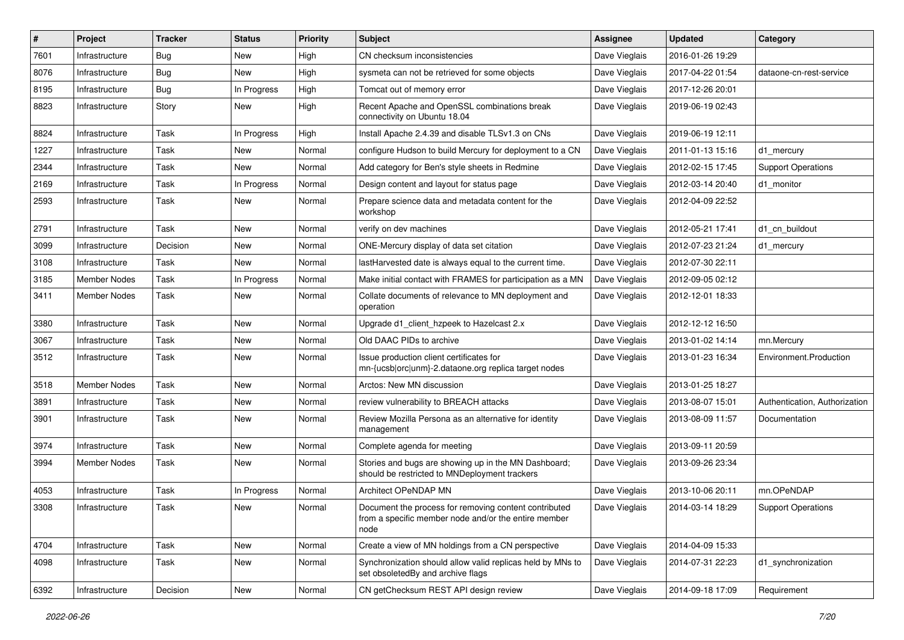| $\#$ | Project             | <b>Tracker</b> | <b>Status</b> | <b>Priority</b> | <b>Subject</b>                                                                                                        | <b>Assignee</b> | <b>Updated</b>   | Category                      |
|------|---------------------|----------------|---------------|-----------------|-----------------------------------------------------------------------------------------------------------------------|-----------------|------------------|-------------------------------|
| 7601 | Infrastructure      | Bug            | New           | High            | CN checksum inconsistencies                                                                                           | Dave Vieglais   | 2016-01-26 19:29 |                               |
| 8076 | Infrastructure      | Bug            | <b>New</b>    | High            | sysmeta can not be retrieved for some objects                                                                         | Dave Vieglais   | 2017-04-22 01:54 | dataone-cn-rest-service       |
| 8195 | Infrastructure      | Bug            | In Progress   | High            | Tomcat out of memory error                                                                                            | Dave Vieglais   | 2017-12-26 20:01 |                               |
| 8823 | Infrastructure      | Story          | New           | High            | Recent Apache and OpenSSL combinations break<br>connectivity on Ubuntu 18.04                                          | Dave Vieglais   | 2019-06-19 02:43 |                               |
| 8824 | Infrastructure      | Task           | In Progress   | High            | Install Apache 2.4.39 and disable TLSv1.3 on CNs                                                                      | Dave Vieglais   | 2019-06-19 12:11 |                               |
| 1227 | Infrastructure      | Task           | <b>New</b>    | Normal          | configure Hudson to build Mercury for deployment to a CN                                                              | Dave Vieglais   | 2011-01-13 15:16 | d1_mercury                    |
| 2344 | Infrastructure      | Task           | New           | Normal          | Add category for Ben's style sheets in Redmine                                                                        | Dave Vieglais   | 2012-02-15 17:45 | <b>Support Operations</b>     |
| 2169 | Infrastructure      | Task           | In Progress   | Normal          | Design content and layout for status page                                                                             | Dave Vieglais   | 2012-03-14 20:40 | d1 monitor                    |
| 2593 | Infrastructure      | Task           | <b>New</b>    | Normal          | Prepare science data and metadata content for the<br>workshop                                                         | Dave Vieglais   | 2012-04-09 22:52 |                               |
| 2791 | Infrastructure      | Task           | <b>New</b>    | Normal          | verify on dev machines                                                                                                | Dave Vieglais   | 2012-05-21 17:41 | d1_cn_buildout                |
| 3099 | Infrastructure      | Decision       | New           | Normal          | ONE-Mercury display of data set citation                                                                              | Dave Vieglais   | 2012-07-23 21:24 | d1 mercury                    |
| 3108 | Infrastructure      | Task           | New           | Normal          | lastHarvested date is always equal to the current time.                                                               | Dave Vieglais   | 2012-07-30 22:11 |                               |
| 3185 | <b>Member Nodes</b> | Task           | In Progress   | Normal          | Make initial contact with FRAMES for participation as a MN                                                            | Dave Vieglais   | 2012-09-05 02:12 |                               |
| 3411 | Member Nodes        | Task           | New           | Normal          | Collate documents of relevance to MN deployment and<br>operation                                                      | Dave Vieglais   | 2012-12-01 18:33 |                               |
| 3380 | Infrastructure      | Task           | New           | Normal          | Upgrade d1_client_hzpeek to Hazelcast 2.x                                                                             | Dave Vieglais   | 2012-12-12 16:50 |                               |
| 3067 | Infrastructure      | Task           | New           | Normal          | Old DAAC PIDs to archive                                                                                              | Dave Vieglais   | 2013-01-02 14:14 | mn.Mercury                    |
| 3512 | Infrastructure      | Task           | New           | Normal          | Issue production client certificates for<br>mn-{ucsb orc unm}-2.dataone.org replica target nodes                      | Dave Vieglais   | 2013-01-23 16:34 | Environment.Production        |
| 3518 | <b>Member Nodes</b> | Task           | New           | Normal          | Arctos: New MN discussion                                                                                             | Dave Vieglais   | 2013-01-25 18:27 |                               |
| 3891 | Infrastructure      | Task           | New           | Normal          | review vulnerability to BREACH attacks                                                                                | Dave Vieglais   | 2013-08-07 15:01 | Authentication, Authorization |
| 3901 | Infrastructure      | Task           | New           | Normal          | Review Mozilla Persona as an alternative for identity<br>management                                                   | Dave Vieglais   | 2013-08-09 11:57 | Documentation                 |
| 3974 | Infrastructure      | Task           | <b>New</b>    | Normal          | Complete agenda for meeting                                                                                           | Dave Vieglais   | 2013-09-11 20:59 |                               |
| 3994 | Member Nodes        | Task           | New           | Normal          | Stories and bugs are showing up in the MN Dashboard;<br>should be restricted to MNDeployment trackers                 | Dave Vieglais   | 2013-09-26 23:34 |                               |
| 4053 | Infrastructure      | Task           | In Progress   | Normal          | <b>Architect OPeNDAP MN</b>                                                                                           | Dave Vieglais   | 2013-10-06 20:11 | mn.OPeNDAP                    |
| 3308 | Infrastructure      | Task           | New           | Normal          | Document the process for removing content contributed<br>from a specific member node and/or the entire member<br>node | Dave Vieglais   | 2014-03-14 18:29 | <b>Support Operations</b>     |
| 4704 | Infrastructure      | Task           | New           | Normal          | Create a view of MN holdings from a CN perspective                                                                    | Dave Vieglais   | 2014-04-09 15:33 |                               |
| 4098 | Infrastructure      | Task           | New           | Normal          | Synchronization should allow valid replicas held by MNs to<br>set obsoletedBy and archive flags                       | Dave Vieglais   | 2014-07-31 22:23 | d1_synchronization            |
| 6392 | Infrastructure      | Decision       | New           | Normal          | CN getChecksum REST API design review                                                                                 | Dave Vieglais   | 2014-09-18 17:09 | Requirement                   |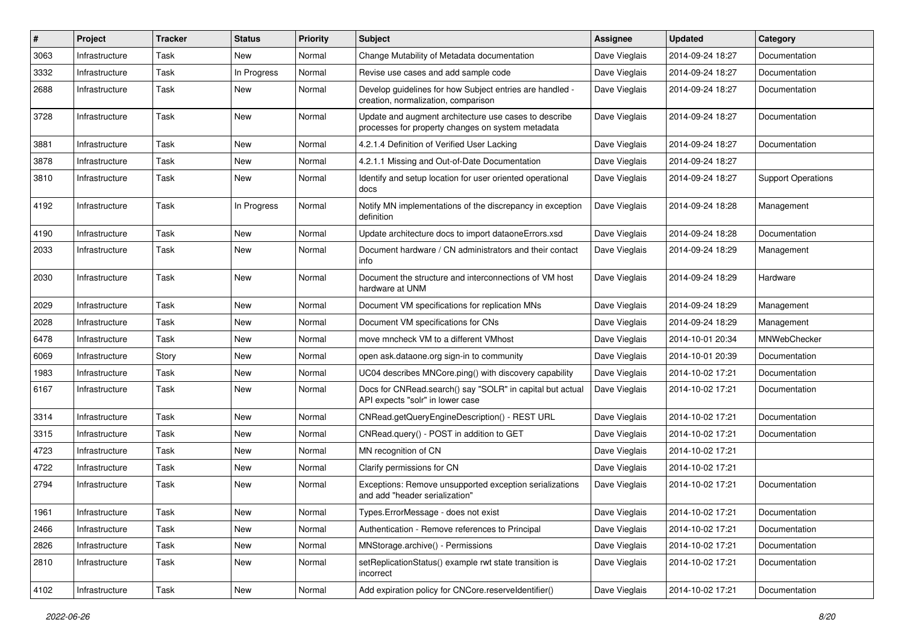| #    | Project        | <b>Tracker</b> | <b>Status</b> | <b>Priority</b> | <b>Subject</b>                                                                                             | Assignee      | <b>Updated</b>   | Category                  |
|------|----------------|----------------|---------------|-----------------|------------------------------------------------------------------------------------------------------------|---------------|------------------|---------------------------|
| 3063 | Infrastructure | Task           | New           | Normal          | Change Mutability of Metadata documentation                                                                | Dave Vieglais | 2014-09-24 18:27 | Documentation             |
| 3332 | Infrastructure | Task           | In Progress   | Normal          | Revise use cases and add sample code                                                                       | Dave Vieglais | 2014-09-24 18:27 | Documentation             |
| 2688 | Infrastructure | Task           | New           | Normal          | Develop guidelines for how Subject entries are handled -<br>creation, normalization, comparison            | Dave Vieglais | 2014-09-24 18:27 | Documentation             |
| 3728 | Infrastructure | Task           | <b>New</b>    | Normal          | Update and augment architecture use cases to describe<br>processes for property changes on system metadata | Dave Vieglais | 2014-09-24 18:27 | Documentation             |
| 3881 | Infrastructure | Task           | New           | Normal          | 4.2.1.4 Definition of Verified User Lacking                                                                | Dave Vieglais | 2014-09-24 18:27 | Documentation             |
| 3878 | Infrastructure | Task           | New           | Normal          | 4.2.1.1 Missing and Out-of-Date Documentation                                                              | Dave Vieglais | 2014-09-24 18:27 |                           |
| 3810 | Infrastructure | Task           | New           | Normal          | Identify and setup location for user oriented operational<br>docs                                          | Dave Vieglais | 2014-09-24 18:27 | <b>Support Operations</b> |
| 4192 | Infrastructure | Task           | In Progress   | Normal          | Notify MN implementations of the discrepancy in exception<br>definition                                    | Dave Vieglais | 2014-09-24 18:28 | Management                |
| 4190 | Infrastructure | Task           | New           | Normal          | Update architecture docs to import dataoneErrors.xsd                                                       | Dave Vieglais | 2014-09-24 18:28 | Documentation             |
| 2033 | Infrastructure | Task           | New           | Normal          | Document hardware / CN administrators and their contact<br>info                                            | Dave Vieglais | 2014-09-24 18:29 | Management                |
| 2030 | Infrastructure | Task           | New           | Normal          | Document the structure and interconnections of VM host<br>hardware at UNM                                  | Dave Vieglais | 2014-09-24 18:29 | Hardware                  |
| 2029 | Infrastructure | Task           | <b>New</b>    | Normal          | Document VM specifications for replication MNs                                                             | Dave Vieglais | 2014-09-24 18:29 | Management                |
| 2028 | Infrastructure | Task           | New           | Normal          | Document VM specifications for CNs                                                                         | Dave Vieglais | 2014-09-24 18:29 | Management                |
| 6478 | Infrastructure | Task           | New           | Normal          | move mncheck VM to a different VMhost                                                                      | Dave Vieglais | 2014-10-01 20:34 | MNWebChecker              |
| 6069 | Infrastructure | Story          | New           | Normal          | open ask.dataone.org sign-in to community                                                                  | Dave Vieglais | 2014-10-01 20:39 | Documentation             |
| 1983 | Infrastructure | Task           | New           | Normal          | UC04 describes MNCore.ping() with discovery capability                                                     | Dave Vieglais | 2014-10-02 17:21 | Documentation             |
| 6167 | Infrastructure | Task           | New           | Normal          | Docs for CNRead.search() say "SOLR" in capital but actual<br>API expects "solr" in lower case              | Dave Vieglais | 2014-10-02 17:21 | Documentation             |
| 3314 | Infrastructure | Task           | <b>New</b>    | Normal          | CNRead.getQueryEngineDescription() - REST URL                                                              | Dave Vieglais | 2014-10-02 17:21 | Documentation             |
| 3315 | Infrastructure | Task           | New           | Normal          | CNRead.query() - POST in addition to GET                                                                   | Dave Vieglais | 2014-10-02 17:21 | Documentation             |
| 4723 | Infrastructure | Task           | New           | Normal          | MN recognition of CN                                                                                       | Dave Vieglais | 2014-10-02 17:21 |                           |
| 4722 | Infrastructure | Task           | New           | Normal          | Clarify permissions for CN                                                                                 | Dave Vieglais | 2014-10-02 17:21 |                           |
| 2794 | Infrastructure | Task           | New           | Normal          | Exceptions: Remove unsupported exception serializations<br>and add "header serialization"                  | Dave Vieglais | 2014-10-02 17:21 | Documentation             |
| 1961 | Infrastructure | Task           | New           | Normal          | Types.ErrorMessage - does not exist                                                                        | Dave Vieglais | 2014-10-02 17:21 | Documentation             |
| 2466 | Infrastructure | Task           | New           | Normal          | Authentication - Remove references to Principal                                                            | Dave Vieglais | 2014-10-02 17:21 | Documentation             |
| 2826 | Infrastructure | Task           | New           | Normal          | MNStorage.archive() - Permissions                                                                          | Dave Vieglais | 2014-10-02 17:21 | Documentation             |
| 2810 | Infrastructure | Task           | New           | Normal          | setReplicationStatus() example rwt state transition is<br>incorrect                                        | Dave Vieglais | 2014-10-02 17:21 | Documentation             |
| 4102 | Infrastructure | Task           | New           | Normal          | Add expiration policy for CNCore.reserveldentifier()                                                       | Dave Vieglais | 2014-10-02 17:21 | Documentation             |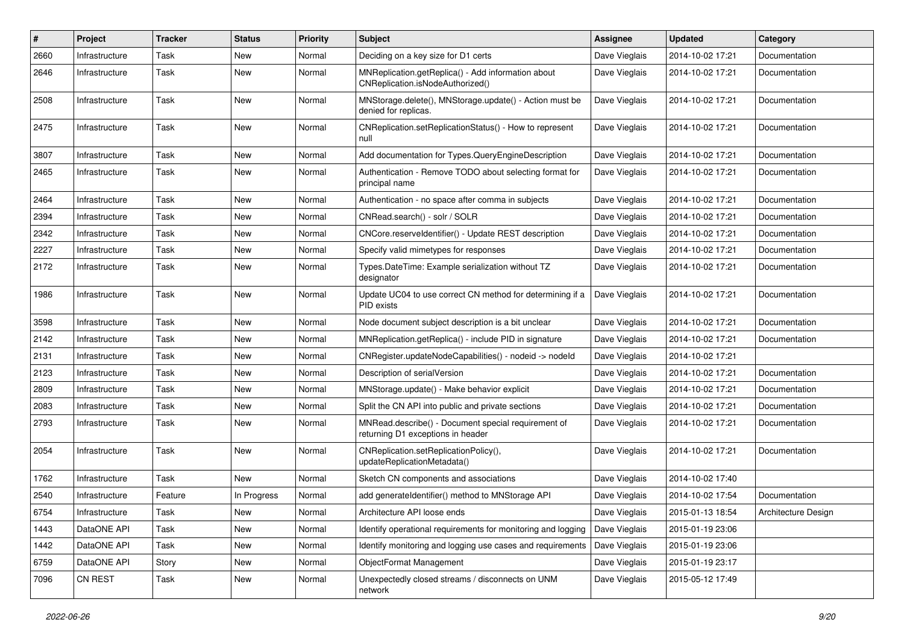| #    | Project        | <b>Tracker</b> | <b>Status</b> | <b>Priority</b> | <b>Subject</b>                                                                           | <b>Assignee</b> | <b>Updated</b>   | Category            |
|------|----------------|----------------|---------------|-----------------|------------------------------------------------------------------------------------------|-----------------|------------------|---------------------|
| 2660 | Infrastructure | Task           | <b>New</b>    | Normal          | Deciding on a key size for D1 certs                                                      | Dave Vieglais   | 2014-10-02 17:21 | Documentation       |
| 2646 | Infrastructure | Task           | <b>New</b>    | Normal          | MNReplication.getReplica() - Add information about<br>CNReplication.isNodeAuthorized()   | Dave Vieglais   | 2014-10-02 17:21 | Documentation       |
| 2508 | Infrastructure | Task           | New           | Normal          | MNStorage.delete(), MNStorage.update() - Action must be<br>denied for replicas.          | Dave Vieglais   | 2014-10-02 17:21 | Documentation       |
| 2475 | Infrastructure | Task           | <b>New</b>    | Normal          | CNReplication.setReplicationStatus() - How to represent<br>null                          | Dave Vieglais   | 2014-10-02 17:21 | Documentation       |
| 3807 | Infrastructure | Task           | New           | Normal          | Add documentation for Types.QueryEngineDescription                                       | Dave Vieglais   | 2014-10-02 17:21 | Documentation       |
| 2465 | Infrastructure | Task           | New           | Normal          | Authentication - Remove TODO about selecting format for<br>principal name                | Dave Vieglais   | 2014-10-02 17:21 | Documentation       |
| 2464 | Infrastructure | Task           | New           | Normal          | Authentication - no space after comma in subjects                                        | Dave Vieglais   | 2014-10-02 17:21 | Documentation       |
| 2394 | Infrastructure | Task           | New           | Normal          | CNRead.search() - solr / SOLR                                                            | Dave Vieglais   | 2014-10-02 17:21 | Documentation       |
| 2342 | Infrastructure | Task           | New           | Normal          | CNCore.reserveldentifier() - Update REST description                                     | Dave Vieglais   | 2014-10-02 17:21 | Documentation       |
| 2227 | Infrastructure | Task           | New           | Normal          | Specify valid mimetypes for responses                                                    | Dave Vieglais   | 2014-10-02 17:21 | Documentation       |
| 2172 | Infrastructure | Task           | New           | Normal          | Types.DateTime: Example serialization without TZ<br>designator                           | Dave Vieglais   | 2014-10-02 17:21 | Documentation       |
| 1986 | Infrastructure | Task           | New           | Normal          | Update UC04 to use correct CN method for determining if a<br>PID exists                  | Dave Vieglais   | 2014-10-02 17:21 | Documentation       |
| 3598 | Infrastructure | Task           | New           | Normal          | Node document subject description is a bit unclear                                       | Dave Vieglais   | 2014-10-02 17:21 | Documentation       |
| 2142 | Infrastructure | Task           | New           | Normal          | MNReplication.getReplica() - include PID in signature                                    | Dave Vieglais   | 2014-10-02 17:21 | Documentation       |
| 2131 | Infrastructure | Task           | New           | Normal          | CNRegister.updateNodeCapabilities() - nodeid -> nodeld                                   | Dave Vieglais   | 2014-10-02 17:21 |                     |
| 2123 | Infrastructure | Task           | New           | Normal          | Description of serialVersion                                                             | Dave Vieglais   | 2014-10-02 17:21 | Documentation       |
| 2809 | Infrastructure | Task           | New           | Normal          | MNStorage.update() - Make behavior explicit                                              | Dave Vieglais   | 2014-10-02 17:21 | Documentation       |
| 2083 | Infrastructure | Task           | New           | Normal          | Split the CN API into public and private sections                                        | Dave Vieglais   | 2014-10-02 17:21 | Documentation       |
| 2793 | Infrastructure | Task           | New           | Normal          | MNRead.describe() - Document special requirement of<br>returning D1 exceptions in header | Dave Vieglais   | 2014-10-02 17:21 | Documentation       |
| 2054 | Infrastructure | Task           | New           | Normal          | CNReplication.setReplicationPolicy(),<br>updateReplicationMetadata()                     | Dave Vieglais   | 2014-10-02 17:21 | Documentation       |
| 1762 | Infrastructure | Task           | <b>New</b>    | Normal          | Sketch CN components and associations                                                    | Dave Vieglais   | 2014-10-02 17:40 |                     |
| 2540 | Infrastructure | Feature        | In Progress   | Normal          | add generateldentifier() method to MNStorage API                                         | Dave Vieglais   | 2014-10-02 17:54 | Documentation       |
| 6754 | Infrastructure | Task           | New           | Normal          | Architecture API loose ends                                                              | Dave Vieglais   | 2015-01-13 18:54 | Architecture Design |
| 1443 | DataONE API    | Task           | New           | Normal          | Identify operational requirements for monitoring and logging                             | Dave Vieglais   | 2015-01-19 23:06 |                     |
| 1442 | DataONE API    | Task           | New           | Normal          | Identify monitoring and logging use cases and requirements                               | Dave Vieglais   | 2015-01-19 23:06 |                     |
| 6759 | DataONE API    | Story          | New           | Normal          | ObjectFormat Management                                                                  | Dave Vieglais   | 2015-01-19 23:17 |                     |
| 7096 | CN REST        | Task           | New           | Normal          | Unexpectedly closed streams / disconnects on UNM<br>network                              | Dave Vieglais   | 2015-05-12 17:49 |                     |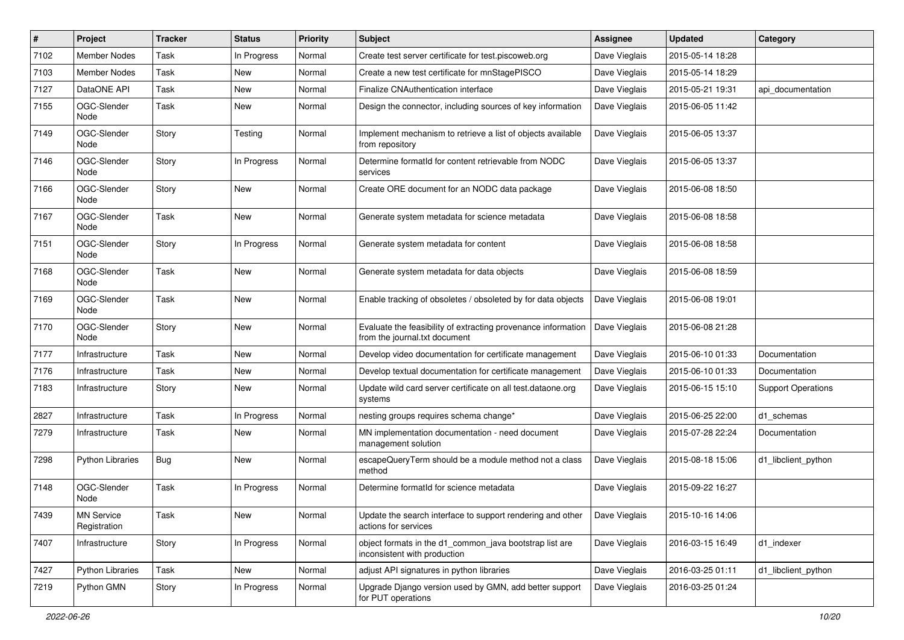| #    | Project                           | <b>Tracker</b> | <b>Status</b> | <b>Priority</b> | <b>Subject</b>                                                                                 | Assignee      | <b>Updated</b>   | Category                  |
|------|-----------------------------------|----------------|---------------|-----------------|------------------------------------------------------------------------------------------------|---------------|------------------|---------------------------|
| 7102 | <b>Member Nodes</b>               | Task           | In Progress   | Normal          | Create test server certificate for test.piscoweb.org                                           | Dave Vieglais | 2015-05-14 18:28 |                           |
| 7103 | <b>Member Nodes</b>               | Task           | New           | Normal          | Create a new test certificate for mnStagePISCO                                                 | Dave Vieglais | 2015-05-14 18:29 |                           |
| 7127 | DataONE API                       | Task           | New           | Normal          | <b>Finalize CNAuthentication interface</b>                                                     | Dave Vieglais | 2015-05-21 19:31 | api_documentation         |
| 7155 | OGC-Slender<br>Node               | Task           | New           | Normal          | Design the connector, including sources of key information                                     | Dave Vieglais | 2015-06-05 11:42 |                           |
| 7149 | OGC-Slender<br>Node               | Story          | Testing       | Normal          | Implement mechanism to retrieve a list of objects available<br>from repository                 | Dave Vieglais | 2015-06-05 13:37 |                           |
| 7146 | OGC-Slender<br>Node               | Story          | In Progress   | Normal          | Determine formatId for content retrievable from NODC<br>services                               | Dave Vieglais | 2015-06-05 13:37 |                           |
| 7166 | OGC-Slender<br>Node               | Story          | New           | Normal          | Create ORE document for an NODC data package                                                   | Dave Vieglais | 2015-06-08 18:50 |                           |
| 7167 | OGC-Slender<br>Node               | Task           | New           | Normal          | Generate system metadata for science metadata                                                  | Dave Vieglais | 2015-06-08 18:58 |                           |
| 7151 | OGC-Slender<br>Node               | Story          | In Progress   | Normal          | Generate system metadata for content                                                           | Dave Vieglais | 2015-06-08 18:58 |                           |
| 7168 | OGC-Slender<br>Node               | Task           | New           | Normal          | Generate system metadata for data objects                                                      | Dave Vieglais | 2015-06-08 18:59 |                           |
| 7169 | OGC-Slender<br>Node               | Task           | New           | Normal          | Enable tracking of obsoletes / obsoleted by for data objects                                   | Dave Vieglais | 2015-06-08 19:01 |                           |
| 7170 | OGC-Slender<br>Node               | Story          | New           | Normal          | Evaluate the feasibility of extracting provenance information<br>from the journal.txt document | Dave Vieglais | 2015-06-08 21:28 |                           |
| 7177 | Infrastructure                    | Task           | New           | Normal          | Develop video documentation for certificate management                                         | Dave Vieglais | 2015-06-10 01:33 | Documentation             |
| 7176 | Infrastructure                    | Task           | New           | Normal          | Develop textual documentation for certificate management                                       | Dave Vieglais | 2015-06-10 01:33 | Documentation             |
| 7183 | Infrastructure                    | Story          | New           | Normal          | Update wild card server certificate on all test.dataone.org<br>systems                         | Dave Vieglais | 2015-06-15 15:10 | <b>Support Operations</b> |
| 2827 | Infrastructure                    | Task           | In Progress   | Normal          | nesting groups requires schema change*                                                         | Dave Vieglais | 2015-06-25 22:00 | d1 schemas                |
| 7279 | Infrastructure                    | Task           | New           | Normal          | MN implementation documentation - need document<br>management solution                         | Dave Vieglais | 2015-07-28 22:24 | Documentation             |
| 7298 | <b>Python Libraries</b>           | Bug            | New           | Normal          | escapeQueryTerm should be a module method not a class<br>method                                | Dave Vieglais | 2015-08-18 15:06 | d1_libclient_python       |
| 7148 | OGC-Slender<br>Node               | Task           | In Progress   | Normal          | Determine formatId for science metadata                                                        | Dave Vieglais | 2015-09-22 16:27 |                           |
| 7439 | <b>MN Service</b><br>Registration | Task           | New           | Normal          | Update the search interface to support rendering and other<br>actions for services             | Dave Vieglais | 2015-10-16 14:06 |                           |
| 7407 | Infrastructure                    | Story          | In Progress   | Normal          | object formats in the d1 common java bootstrap list are<br>inconsistent with production        | Dave Vieglais | 2016-03-15 16:49 | d1_indexer                |
| 7427 | Python Libraries                  | Task           | New           | Normal          | adjust API signatures in python libraries                                                      | Dave Vieglais | 2016-03-25 01:11 | d1_libclient_python       |
| 7219 | Python GMN                        | Story          | In Progress   | Normal          | Upgrade Django version used by GMN, add better support<br>for PUT operations                   | Dave Vieglais | 2016-03-25 01:24 |                           |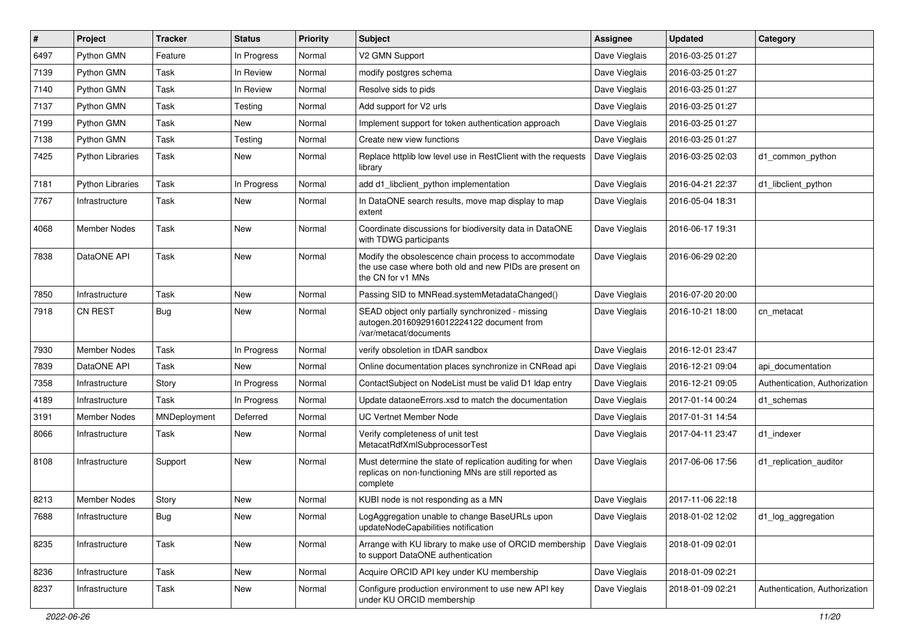| $\pmb{\#}$ | Project                 | <b>Tracker</b> | <b>Status</b> | <b>Priority</b> | <b>Subject</b>                                                                                                                       | Assignee      | <b>Updated</b>   | Category                      |
|------------|-------------------------|----------------|---------------|-----------------|--------------------------------------------------------------------------------------------------------------------------------------|---------------|------------------|-------------------------------|
| 6497       | Python GMN              | Feature        | In Progress   | Normal          | V2 GMN Support                                                                                                                       | Dave Vieglais | 2016-03-25 01:27 |                               |
| 7139       | Python GMN              | Task           | In Review     | Normal          | modify postgres schema                                                                                                               | Dave Vieglais | 2016-03-25 01:27 |                               |
| 7140       | Python GMN              | Task           | In Review     | Normal          | Resolve sids to pids                                                                                                                 | Dave Vieglais | 2016-03-25 01:27 |                               |
| 7137       | Python GMN              | Task           | Testing       | Normal          | Add support for V2 urls                                                                                                              | Dave Vieglais | 2016-03-25 01:27 |                               |
| 7199       | Python GMN              | Task           | New           | Normal          | Implement support for token authentication approach                                                                                  | Dave Vieglais | 2016-03-25 01:27 |                               |
| 7138       | Python GMN              | Task           | Testing       | Normal          | Create new view functions                                                                                                            | Dave Vieglais | 2016-03-25 01:27 |                               |
| 7425       | <b>Python Libraries</b> | Task           | New           | Normal          | Replace httplib low level use in RestClient with the requests<br>library                                                             | Dave Vieglais | 2016-03-25 02:03 | d1 common python              |
| 7181       | <b>Python Libraries</b> | Task           | In Progress   | Normal          | add d1_libclient_python implementation                                                                                               | Dave Vieglais | 2016-04-21 22:37 | d1 libclient python           |
| 7767       | Infrastructure          | Task           | New           | Normal          | In DataONE search results, move map display to map<br>extent                                                                         | Dave Vieglais | 2016-05-04 18:31 |                               |
| 4068       | Member Nodes            | Task           | <b>New</b>    | Normal          | Coordinate discussions for biodiversity data in DataONE<br>with TDWG participants                                                    | Dave Vieglais | 2016-06-17 19:31 |                               |
| 7838       | DataONE API             | Task           | <b>New</b>    | Normal          | Modify the obsolescence chain process to accommodate<br>the use case where both old and new PIDs are present on<br>the CN for v1 MNs | Dave Vieglais | 2016-06-29 02:20 |                               |
| 7850       | Infrastructure          | Task           | New           | Normal          | Passing SID to MNRead.systemMetadataChanged()                                                                                        | Dave Vieglais | 2016-07-20 20:00 |                               |
| 7918       | <b>CN REST</b>          | Bug            | New           | Normal          | SEAD object only partially synchronized - missing<br>autogen.2016092916012224122 document from<br>/var/metacat/documents             | Dave Vieglais | 2016-10-21 18:00 | cn_metacat                    |
| 7930       | Member Nodes            | Task           | In Progress   | Normal          | verify obsoletion in tDAR sandbox                                                                                                    | Dave Vieglais | 2016-12-01 23:47 |                               |
| 7839       | DataONE API             | Task           | New           | Normal          | Online documentation places synchronize in CNRead api                                                                                | Dave Vieglais | 2016-12-21 09:04 | api documentation             |
| 7358       | Infrastructure          | Story          | In Progress   | Normal          | ContactSubject on NodeList must be valid D1 Idap entry                                                                               | Dave Vieglais | 2016-12-21 09:05 | Authentication, Authorization |
| 4189       | Infrastructure          | Task           | In Progress   | Normal          | Update dataoneErrors.xsd to match the documentation                                                                                  | Dave Vieglais | 2017-01-14 00:24 | d1_schemas                    |
| 3191       | Member Nodes            | MNDeployment   | Deferred      | Normal          | <b>UC Vertnet Member Node</b>                                                                                                        | Dave Vieglais | 2017-01-31 14:54 |                               |
| 8066       | Infrastructure          | Task           | New           | Normal          | Verify completeness of unit test<br>MetacatRdfXmlSubprocessorTest                                                                    | Dave Vieglais | 2017-04-11 23:47 | d1_indexer                    |
| 8108       | Infrastructure          | Support        | New           | Normal          | Must determine the state of replication auditing for when<br>replicas on non-functioning MNs are still reported as<br>complete       | Dave Vieglais | 2017-06-06 17:56 | d1_replication_auditor        |
| 8213       | <b>Member Nodes</b>     | Story          | <b>New</b>    | Normal          | KUBI node is not responding as a MN                                                                                                  | Dave Vieglais | 2017-11-06 22:18 |                               |
| 7688       | Infrastructure          | <b>Bug</b>     | New           | Normal          | LogAggregation unable to change BaseURLs upon<br>updateNodeCapabilities notification                                                 | Dave Vieglais | 2018-01-02 12:02 | d1_log_aggregation            |
| 8235       | Infrastructure          | Task           | New           | Normal          | Arrange with KU library to make use of ORCID membership<br>to support DataONE authentication                                         | Dave Vieglais | 2018-01-09 02:01 |                               |
| 8236       | Infrastructure          | Task           | New           | Normal          | Acquire ORCID API key under KU membership                                                                                            | Dave Vieglais | 2018-01-09 02:21 |                               |
| 8237       | Infrastructure          | Task           | New           | Normal          | Configure production environment to use new API key<br>under KU ORCID membership                                                     | Dave Vieglais | 2018-01-09 02:21 | Authentication, Authorization |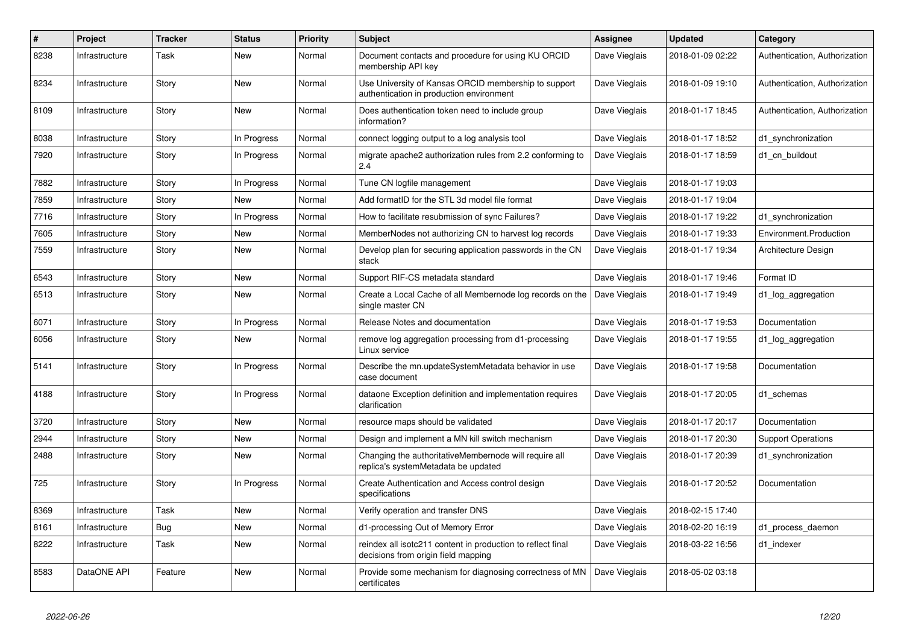| $\#$ | Project        | Tracker | <b>Status</b> | <b>Priority</b> | <b>Subject</b>                                                                                     | Assignee      | <b>Updated</b>   | Category                      |
|------|----------------|---------|---------------|-----------------|----------------------------------------------------------------------------------------------------|---------------|------------------|-------------------------------|
| 8238 | Infrastructure | Task    | <b>New</b>    | Normal          | Document contacts and procedure for using KU ORCID<br>membership API key                           | Dave Vieglais | 2018-01-09 02:22 | Authentication, Authorization |
| 8234 | Infrastructure | Story   | <b>New</b>    | Normal          | Use University of Kansas ORCID membership to support<br>authentication in production environment   | Dave Vieglais | 2018-01-09 19:10 | Authentication, Authorization |
| 8109 | Infrastructure | Story   | <b>New</b>    | Normal          | Does authentication token need to include group<br>information?                                    | Dave Vieglais | 2018-01-17 18:45 | Authentication, Authorization |
| 8038 | Infrastructure | Story   | In Progress   | Normal          | connect logging output to a log analysis tool                                                      | Dave Vieglais | 2018-01-17 18:52 | d1 synchronization            |
| 7920 | Infrastructure | Story   | In Progress   | Normal          | migrate apache2 authorization rules from 2.2 conforming to<br>2.4                                  | Dave Vieglais | 2018-01-17 18:59 | d1_cn_buildout                |
| 7882 | Infrastructure | Story   | In Progress   | Normal          | Tune CN logfile management                                                                         | Dave Vieglais | 2018-01-17 19:03 |                               |
| 7859 | Infrastructure | Story   | <b>New</b>    | Normal          | Add formatID for the STL 3d model file format                                                      | Dave Vieglais | 2018-01-17 19:04 |                               |
| 7716 | Infrastructure | Story   | In Progress   | Normal          | How to facilitate resubmission of sync Failures?                                                   | Dave Vieglais | 2018-01-17 19:22 | d1 synchronization            |
| 7605 | Infrastructure | Story   | New           | Normal          | MemberNodes not authorizing CN to harvest log records                                              | Dave Vieglais | 2018-01-17 19:33 | Environment.Production        |
| 7559 | Infrastructure | Story   | <b>New</b>    | Normal          | Develop plan for securing application passwords in the CN<br>stack                                 | Dave Vieglais | 2018-01-17 19:34 | Architecture Design           |
| 6543 | Infrastructure | Story   | <b>New</b>    | Normal          | Support RIF-CS metadata standard                                                                   | Dave Vieglais | 2018-01-17 19:46 | Format ID                     |
| 6513 | Infrastructure | Story   | <b>New</b>    | Normal          | Create a Local Cache of all Membernode log records on the<br>single master CN                      | Dave Vieglais | 2018-01-17 19:49 | d1_log_aggregation            |
| 6071 | Infrastructure | Story   | In Progress   | Normal          | Release Notes and documentation                                                                    | Dave Vieglais | 2018-01-17 19:53 | Documentation                 |
| 6056 | Infrastructure | Story   | New           | Normal          | remove log aggregation processing from d1-processing<br>Linux service                              | Dave Vieglais | 2018-01-17 19:55 | d1_log_aggregation            |
| 5141 | Infrastructure | Story   | In Progress   | Normal          | Describe the mn.updateSystemMetadata behavior in use<br>case document                              | Dave Vieglais | 2018-01-17 19:58 | Documentation                 |
| 4188 | Infrastructure | Story   | In Progress   | Normal          | dataone Exception definition and implementation requires<br>clarification                          | Dave Vieglais | 2018-01-17 20:05 | d1_schemas                    |
| 3720 | Infrastructure | Story   | <b>New</b>    | Normal          | resource maps should be validated                                                                  | Dave Vieglais | 2018-01-17 20:17 | Documentation                 |
| 2944 | Infrastructure | Story   | New           | Normal          | Design and implement a MN kill switch mechanism                                                    | Dave Vieglais | 2018-01-17 20:30 | <b>Support Operations</b>     |
| 2488 | Infrastructure | Story   | <b>New</b>    | Normal          | Changing the authoritativeMembernode will require all<br>replica's systemMetadata be updated       | Dave Vieglais | 2018-01-17 20:39 | d1 synchronization            |
| 725  | Infrastructure | Story   | In Progress   | Normal          | Create Authentication and Access control design<br>specifications                                  | Dave Vieglais | 2018-01-17 20:52 | Documentation                 |
| 8369 | Infrastructure | Task    | <b>New</b>    | Normal          | Verify operation and transfer DNS                                                                  | Dave Vieglais | 2018-02-15 17:40 |                               |
| 8161 | Infrastructure | Bug     | <b>New</b>    | Normal          | d1-processing Out of Memory Error                                                                  | Dave Vieglais | 2018-02-20 16:19 | d1_process_daemon             |
| 8222 | Infrastructure | Task    | <b>New</b>    | Normal          | reindex all isotc211 content in production to reflect final<br>decisions from origin field mapping | Dave Vieglais | 2018-03-22 16:56 | d1 indexer                    |
| 8583 | DataONE API    | Feature | <b>New</b>    | Normal          | Provide some mechanism for diagnosing correctness of MN<br>certificates                            | Dave Vieglais | 2018-05-02 03:18 |                               |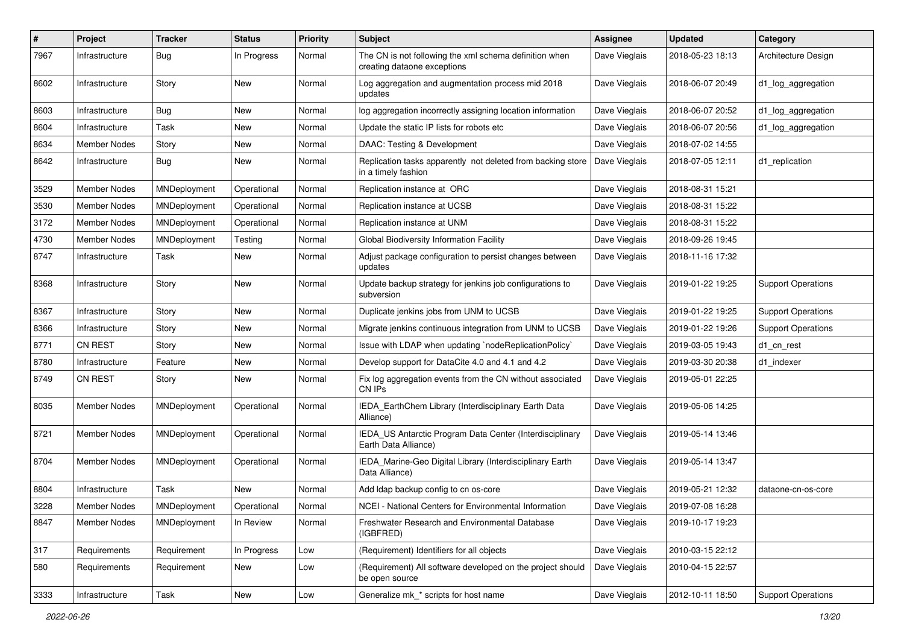| $\sharp$ | Project             | <b>Tracker</b> | <b>Status</b> | <b>Priority</b> | <b>Subject</b>                                                                        | <b>Assignee</b> | <b>Updated</b>   | Category                  |
|----------|---------------------|----------------|---------------|-----------------|---------------------------------------------------------------------------------------|-----------------|------------------|---------------------------|
| 7967     | Infrastructure      | Bug            | In Progress   | Normal          | The CN is not following the xml schema definition when<br>creating dataone exceptions | Dave Vieglais   | 2018-05-23 18:13 | Architecture Design       |
| 8602     | Infrastructure      | Story          | New           | Normal          | Log aggregation and augmentation process mid 2018<br>updates                          | Dave Vieglais   | 2018-06-07 20:49 | d1_log_aggregation        |
| 8603     | Infrastructure      | Bug            | New           | Normal          | log aggregation incorrectly assigning location information                            | Dave Vieglais   | 2018-06-07 20:52 | d1_log_aggregation        |
| 8604     | Infrastructure      | Task           | New           | Normal          | Update the static IP lists for robots etc                                             | Dave Vieglais   | 2018-06-07 20:56 | d1_log_aggregation        |
| 8634     | <b>Member Nodes</b> | Story          | New           | Normal          | DAAC: Testing & Development                                                           | Dave Vieglais   | 2018-07-02 14:55 |                           |
| 8642     | Infrastructure      | Bug            | New           | Normal          | Replication tasks apparently not deleted from backing store<br>in a timely fashion    | Dave Vieglais   | 2018-07-05 12:11 | d1_replication            |
| 3529     | <b>Member Nodes</b> | MNDeployment   | Operational   | Normal          | Replication instance at ORC                                                           | Dave Vieglais   | 2018-08-31 15:21 |                           |
| 3530     | <b>Member Nodes</b> | MNDeployment   | Operational   | Normal          | Replication instance at UCSB                                                          | Dave Vieglais   | 2018-08-31 15:22 |                           |
| 3172     | <b>Member Nodes</b> | MNDeployment   | Operational   | Normal          | Replication instance at UNM                                                           | Dave Vieglais   | 2018-08-31 15:22 |                           |
| 4730     | <b>Member Nodes</b> | MNDeployment   | Testing       | Normal          | Global Biodiversity Information Facility                                              | Dave Vieglais   | 2018-09-26 19:45 |                           |
| 8747     | Infrastructure      | Task           | New           | Normal          | Adjust package configuration to persist changes between<br>updates                    | Dave Vieglais   | 2018-11-16 17:32 |                           |
| 8368     | Infrastructure      | Story          | New           | Normal          | Update backup strategy for jenkins job configurations to<br>subversion                | Dave Vieglais   | 2019-01-22 19:25 | <b>Support Operations</b> |
| 8367     | Infrastructure      | Story          | New           | Normal          | Duplicate jenkins jobs from UNM to UCSB                                               | Dave Vieglais   | 2019-01-22 19:25 | <b>Support Operations</b> |
| 8366     | Infrastructure      | Story          | New           | Normal          | Migrate jenkins continuous integration from UNM to UCSB                               | Dave Vieglais   | 2019-01-22 19:26 | <b>Support Operations</b> |
| 8771     | <b>CN REST</b>      | Story          | New           | Normal          | Issue with LDAP when updating `nodeReplicationPolicy`                                 | Dave Vieglais   | 2019-03-05 19:43 | d1_cn_rest                |
| 8780     | Infrastructure      | Feature        | New           | Normal          | Develop support for DataCite 4.0 and 4.1 and 4.2                                      | Dave Vieglais   | 2019-03-30 20:38 | d1 indexer                |
| 8749     | <b>CN REST</b>      | Story          | New           | Normal          | Fix log aggregation events from the CN without associated<br>CN IPs                   | Dave Vieglais   | 2019-05-01 22:25 |                           |
| 8035     | Member Nodes        | MNDeployment   | Operational   | Normal          | IEDA_EarthChem Library (Interdisciplinary Earth Data<br>Alliance)                     | Dave Vieglais   | 2019-05-06 14:25 |                           |
| 8721     | <b>Member Nodes</b> | MNDeployment   | Operational   | Normal          | IEDA_US Antarctic Program Data Center (Interdisciplinary<br>Earth Data Alliance)      | Dave Vieglais   | 2019-05-14 13:46 |                           |
| 8704     | Member Nodes        | MNDeployment   | Operational   | Normal          | IEDA_Marine-Geo Digital Library (Interdisciplinary Earth<br>Data Alliance)            | Dave Vieglais   | 2019-05-14 13:47 |                           |
| 8804     | Infrastructure      | Task           | New           | Normal          | Add Idap backup config to cn os-core                                                  | Dave Vieglais   | 2019-05-21 12:32 | dataone-cn-os-core        |
| 3228     | Member Nodes        | MNDeployment   | Operational   | Normal          | NCEI - National Centers for Environmental Information                                 | Dave Vieglais   | 2019-07-08 16:28 |                           |
| 8847     | Member Nodes        | MNDeployment   | In Review     | Normal          | Freshwater Research and Environmental Database<br>(IGBFRED)                           | Dave Vieglais   | 2019-10-17 19:23 |                           |
| 317      | Requirements        | Requirement    | In Progress   | Low             | (Requirement) Identifiers for all objects                                             | Dave Vieglais   | 2010-03-15 22:12 |                           |
| 580      | Requirements        | Requirement    | New           | Low             | (Requirement) All software developed on the project should<br>be open source          | Dave Vieglais   | 2010-04-15 22:57 |                           |
| 3333     | Infrastructure      | Task           | New           | Low             | Generalize mk_* scripts for host name                                                 | Dave Vieglais   | 2012-10-11 18:50 | <b>Support Operations</b> |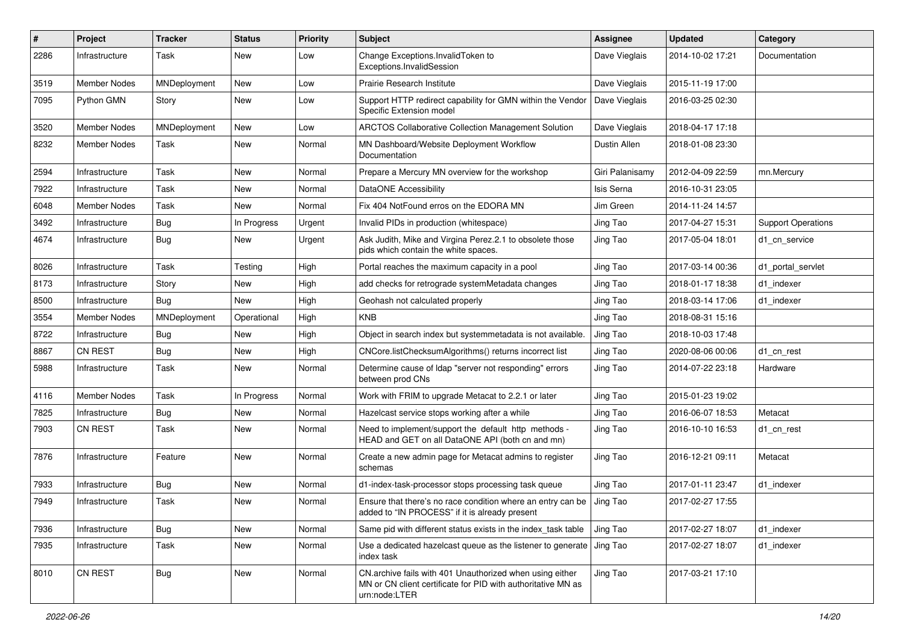| $\sharp$ | Project             | <b>Tracker</b> | <b>Status</b> | <b>Priority</b> | <b>Subject</b>                                                                                                                            | <b>Assignee</b> | <b>Updated</b>   | Category                  |
|----------|---------------------|----------------|---------------|-----------------|-------------------------------------------------------------------------------------------------------------------------------------------|-----------------|------------------|---------------------------|
| 2286     | Infrastructure      | Task           | New           | Low             | Change Exceptions. Invalid Token to<br>Exceptions.InvalidSession                                                                          | Dave Vieglais   | 2014-10-02 17:21 | Documentation             |
| 3519     | Member Nodes        | MNDeployment   | New           | Low             | Prairie Research Institute                                                                                                                | Dave Vieglais   | 2015-11-19 17:00 |                           |
| 7095     | Python GMN          | Story          | New           | Low             | Support HTTP redirect capability for GMN within the Vendor<br>Specific Extension model                                                    | Dave Vieglais   | 2016-03-25 02:30 |                           |
| 3520     | Member Nodes        | MNDeployment   | New           | Low             | ARCTOS Collaborative Collection Management Solution                                                                                       | Dave Vieglais   | 2018-04-17 17:18 |                           |
| 8232     | Member Nodes        | Task           | New           | Normal          | MN Dashboard/Website Deployment Workflow<br>Documentation                                                                                 | Dustin Allen    | 2018-01-08 23:30 |                           |
| 2594     | Infrastructure      | Task           | <b>New</b>    | Normal          | Prepare a Mercury MN overview for the workshop                                                                                            | Giri Palanisamy | 2012-04-09 22:59 | mn.Mercury                |
| 7922     | Infrastructure      | Task           | New           | Normal          | DataONE Accessibility                                                                                                                     | Isis Serna      | 2016-10-31 23:05 |                           |
| 6048     | Member Nodes        | Task           | New           | Normal          | Fix 404 NotFound erros on the EDORA MN                                                                                                    | Jim Green       | 2014-11-24 14:57 |                           |
| 3492     | Infrastructure      | Bug            | In Progress   | Urgent          | Invalid PIDs in production (whitespace)                                                                                                   | Jing Tao        | 2017-04-27 15:31 | <b>Support Operations</b> |
| 4674     | Infrastructure      | Bug            | New           | Urgent          | Ask Judith, Mike and Virgina Perez.2.1 to obsolete those<br>pids which contain the white spaces.                                          | Jing Tao        | 2017-05-04 18:01 | d1 cn service             |
| 8026     | Infrastructure      | Task           | Testing       | High            | Portal reaches the maximum capacity in a pool                                                                                             | Jing Tao        | 2017-03-14 00:36 | d1 portal servlet         |
| 8173     | Infrastructure      | Story          | New           | High            | add checks for retrograde systemMetadata changes                                                                                          | Jing Tao        | 2018-01-17 18:38 | d1 indexer                |
| 8500     | Infrastructure      | Bug            | New           | High            | Geohash not calculated properly                                                                                                           | Jing Tao        | 2018-03-14 17:06 | d1 indexer                |
| 3554     | Member Nodes        | MNDeployment   | Operational   | High            | <b>KNB</b>                                                                                                                                | Jing Tao        | 2018-08-31 15:16 |                           |
| 8722     | Infrastructure      | Bug            | New           | High            | Object in search index but systemmetadata is not available.                                                                               | Jing Tao        | 2018-10-03 17:48 |                           |
| 8867     | CN REST             | Bug            | New           | High            | CNCore.listChecksumAlgorithms() returns incorrect list                                                                                    | Jing Tao        | 2020-08-06 00:06 | d1_cn_rest                |
| 5988     | Infrastructure      | Task           | New           | Normal          | Determine cause of Idap "server not responding" errors<br>between prod CNs                                                                | Jing Tao        | 2014-07-22 23:18 | Hardware                  |
| 4116     | <b>Member Nodes</b> | Task           | In Progress   | Normal          | Work with FRIM to upgrade Metacat to 2.2.1 or later                                                                                       | Jing Tao        | 2015-01-23 19:02 |                           |
| 7825     | Infrastructure      | Bug            | New           | Normal          | Hazelcast service stops working after a while                                                                                             | Jing Tao        | 2016-06-07 18:53 | Metacat                   |
| 7903     | <b>CN REST</b>      | Task           | New           | Normal          | Need to implement/support the default http methods -<br>HEAD and GET on all DataONE API (both cn and mn)                                  | Jing Tao        | 2016-10-10 16:53 | d1 cn rest                |
| 7876     | Infrastructure      | Feature        | New           | Normal          | Create a new admin page for Metacat admins to register<br>schemas                                                                         | Jing Tao        | 2016-12-21 09:11 | Metacat                   |
| 7933     | Infrastructure      | <b>Bug</b>     | New           | Normal          | d1-index-task-processor stops processing task queue                                                                                       | Jing Tao        | 2017-01-11 23:47 | d1_indexer                |
| 7949     | Infrastructure      | Task           | New           | Normal          | Ensure that there's no race condition where an entry can be<br>added to "IN PROCESS" if it is already present                             | Jing Tao        | 2017-02-27 17:55 |                           |
| 7936     | Infrastructure      | Bug            | New           | Normal          | Same pid with different status exists in the index task table                                                                             | Jing Tao        | 2017-02-27 18:07 | d1 indexer                |
| 7935     | Infrastructure      | Task           | New           | Normal          | Use a dedicated hazelcast queue as the listener to generate<br>index task                                                                 | Jing Tao        | 2017-02-27 18:07 | d1_indexer                |
| 8010     | CN REST             | <b>Bug</b>     | New           | Normal          | CN.archive fails with 401 Unauthorized when using either<br>MN or CN client certificate for PID with authoritative MN as<br>urn:node:LTER | Jing Tao        | 2017-03-21 17:10 |                           |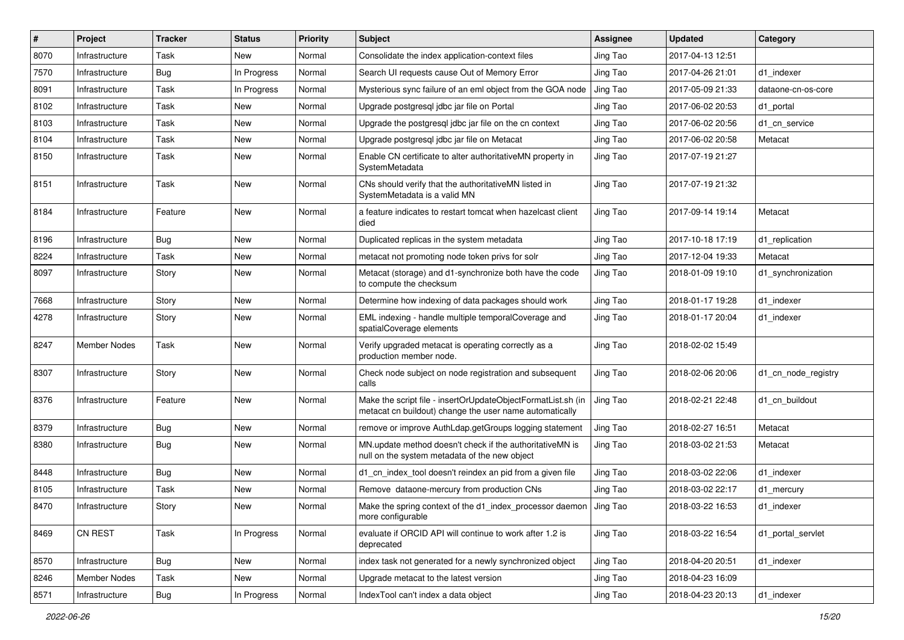| #    | Project        | <b>Tracker</b> | <b>Status</b> | <b>Priority</b> | Subject                                                                                                                 | <b>Assignee</b> | <b>Updated</b>   | Category            |
|------|----------------|----------------|---------------|-----------------|-------------------------------------------------------------------------------------------------------------------------|-----------------|------------------|---------------------|
| 8070 | Infrastructure | Task           | New           | Normal          | Consolidate the index application-context files                                                                         | Jing Tao        | 2017-04-13 12:51 |                     |
| 7570 | Infrastructure | <b>Bug</b>     | In Progress   | Normal          | Search UI requests cause Out of Memory Error                                                                            | Jing Tao        | 2017-04-26 21:01 | d1_indexer          |
| 8091 | Infrastructure | Task           | In Progress   | Normal          | Mysterious sync failure of an eml object from the GOA node                                                              | Jing Tao        | 2017-05-09 21:33 | dataone-cn-os-core  |
| 8102 | Infrastructure | Task           | New           | Normal          | Upgrade postgresgl jdbc jar file on Portal                                                                              | Jing Tao        | 2017-06-02 20:53 | d1 portal           |
| 8103 | Infrastructure | Task           | New           | Normal          | Upgrade the postgresql jdbc jar file on the cn context                                                                  | Jing Tao        | 2017-06-02 20:56 | d1 cn service       |
| 8104 | Infrastructure | Task           | New           | Normal          | Upgrade postgresgl jdbc jar file on Metacat                                                                             | Jing Tao        | 2017-06-02 20:58 | Metacat             |
| 8150 | Infrastructure | Task           | New           | Normal          | Enable CN certificate to alter authoritativeMN property in<br>SystemMetadata                                            | Jing Tao        | 2017-07-19 21:27 |                     |
| 8151 | Infrastructure | Task           | New           | Normal          | CNs should verify that the authoritativeMN listed in<br>SystemMetadata is a valid MN                                    | Jing Tao        | 2017-07-19 21:32 |                     |
| 8184 | Infrastructure | Feature        | New           | Normal          | a feature indicates to restart tomcat when hazelcast client<br>died                                                     | Jing Tao        | 2017-09-14 19:14 | Metacat             |
| 8196 | Infrastructure | <b>Bug</b>     | New           | Normal          | Duplicated replicas in the system metadata                                                                              | Jing Tao        | 2017-10-18 17:19 | d1_replication      |
| 8224 | Infrastructure | Task           | New           | Normal          | metacat not promoting node token privs for solr                                                                         | Jing Tao        | 2017-12-04 19:33 | Metacat             |
| 8097 | Infrastructure | Story          | New           | Normal          | Metacat (storage) and d1-synchronize both have the code<br>to compute the checksum                                      | Jing Tao        | 2018-01-09 19:10 | d1_synchronization  |
| 7668 | Infrastructure | Story          | New           | Normal          | Determine how indexing of data packages should work                                                                     | Jing Tao        | 2018-01-17 19:28 | d1 indexer          |
| 4278 | Infrastructure | Story          | New           | Normal          | EML indexing - handle multiple temporalCoverage and<br>spatialCoverage elements                                         | Jing Tao        | 2018-01-17 20:04 | d1 indexer          |
| 8247 | Member Nodes   | Task           | New           | Normal          | Verify upgraded metacat is operating correctly as a<br>production member node.                                          | Jing Tao        | 2018-02-02 15:49 |                     |
| 8307 | Infrastructure | Story          | New           | Normal          | Check node subject on node registration and subsequent<br>calls                                                         | Jing Tao        | 2018-02-06 20:06 | d1_cn_node_registry |
| 8376 | Infrastructure | Feature        | New           | Normal          | Make the script file - insertOrUpdateObjectFormatList.sh (in<br>metacat cn buildout) change the user name automatically | Jing Tao        | 2018-02-21 22:48 | d1 cn buildout      |
| 8379 | Infrastructure | <b>Bug</b>     | New           | Normal          | remove or improve AuthLdap.getGroups logging statement                                                                  | Jing Tao        | 2018-02-27 16:51 | Metacat             |
| 8380 | Infrastructure | <b>Bug</b>     | New           | Normal          | MN.update method doesn't check if the authoritativeMN is<br>null on the system metadata of the new object               | Jing Tao        | 2018-03-02 21:53 | Metacat             |
| 8448 | Infrastructure | <b>Bug</b>     | New           | Normal          | d1_cn_index_tool doesn't reindex an pid from a given file                                                               | Jing Tao        | 2018-03-02 22:06 | d1_indexer          |
| 8105 | Infrastructure | Task           | New           | Normal          | Remove dataone-mercury from production CNs                                                                              | Jing Tao        | 2018-03-02 22:17 | d1_mercury          |
| 8470 | Infrastructure | Story          | New           | Normal          | Make the spring context of the d1 index processor daemon J Jing Tao<br>more configurable                                |                 | 2018-03-22 16:53 | d1 indexer          |
| 8469 | CN REST        | Task           | In Progress   | Normal          | evaluate if ORCID API will continue to work after 1.2 is<br>deprecated                                                  | Jing Tao        | 2018-03-22 16:54 | d1 portal servlet   |
| 8570 | Infrastructure | <b>Bug</b>     | New           | Normal          | index task not generated for a newly synchronized object                                                                | Jing Tao        | 2018-04-20 20:51 | d1_indexer          |
| 8246 | Member Nodes   | Task           | New           | Normal          | Upgrade metacat to the latest version                                                                                   | Jing Tao        | 2018-04-23 16:09 |                     |
| 8571 | Infrastructure | <b>Bug</b>     | In Progress   | Normal          | IndexTool can't index a data object                                                                                     | Jing Tao        | 2018-04-23 20:13 | d1_indexer          |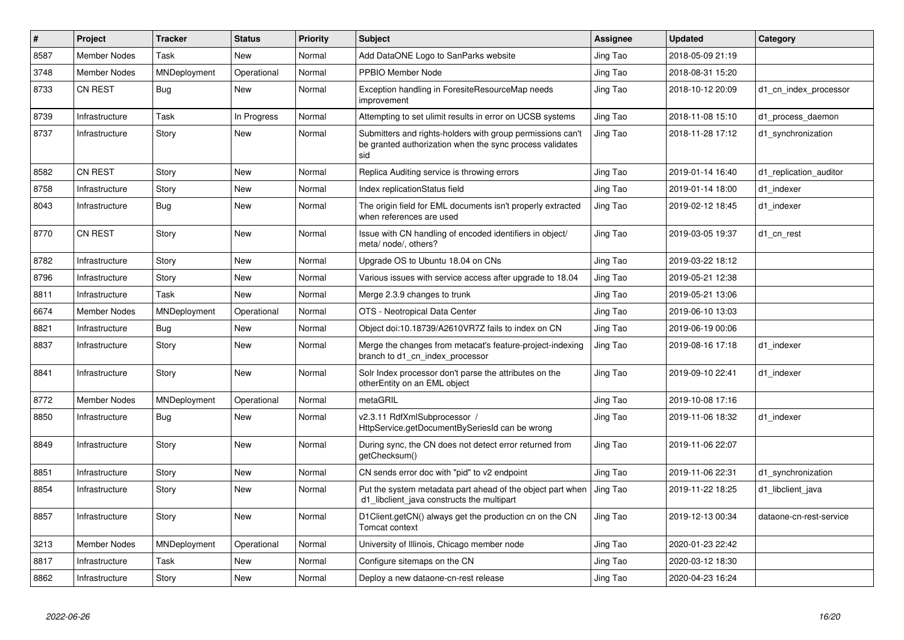| $\#$ | Project             | <b>Tracker</b> | <b>Status</b> | <b>Priority</b> | <b>Subject</b>                                                                                                                | Assignee | <b>Updated</b>   | Category                |
|------|---------------------|----------------|---------------|-----------------|-------------------------------------------------------------------------------------------------------------------------------|----------|------------------|-------------------------|
| 8587 | <b>Member Nodes</b> | Task           | <b>New</b>    | Normal          | Add DataONE Logo to SanParks website                                                                                          | Jing Tao | 2018-05-09 21:19 |                         |
| 3748 | <b>Member Nodes</b> | MNDeployment   | Operational   | Normal          | PPBIO Member Node                                                                                                             | Jing Tao | 2018-08-31 15:20 |                         |
| 8733 | <b>CN REST</b>      | Bug            | New           | Normal          | Exception handling in ForesiteResourceMap needs<br>improvement                                                                | Jing Tao | 2018-10-12 20:09 | d1 cn index processor   |
| 8739 | Infrastructure      | Task           | In Progress   | Normal          | Attempting to set ulimit results in error on UCSB systems                                                                     | Jing Tao | 2018-11-08 15:10 | d1 process daemon       |
| 8737 | Infrastructure      | Story          | <b>New</b>    | Normal          | Submitters and rights-holders with group permissions can't<br>be granted authorization when the sync process validates<br>sid | Jing Tao | 2018-11-28 17:12 | d1 synchronization      |
| 8582 | <b>CN REST</b>      | Story          | <b>New</b>    | Normal          | Replica Auditing service is throwing errors                                                                                   | Jing Tao | 2019-01-14 16:40 | d1 replication auditor  |
| 8758 | Infrastructure      | Story          | <b>New</b>    | Normal          | Index replicationStatus field                                                                                                 | Jing Tao | 2019-01-14 18:00 | d1 indexer              |
| 8043 | Infrastructure      | Bug            | New           | Normal          | The origin field for EML documents isn't properly extracted<br>when references are used                                       | Jing Tao | 2019-02-12 18:45 | d1 indexer              |
| 8770 | CN REST             | Story          | <b>New</b>    | Normal          | Issue with CN handling of encoded identifiers in object/<br>meta/ node/, others?                                              | Jing Tao | 2019-03-05 19:37 | d1_cn_rest              |
| 8782 | Infrastructure      | Story          | <b>New</b>    | Normal          | Upgrade OS to Ubuntu 18.04 on CNs                                                                                             | Jing Tao | 2019-03-22 18:12 |                         |
| 8796 | Infrastructure      | Story          | <b>New</b>    | Normal          | Various issues with service access after upgrade to 18.04                                                                     | Jing Tao | 2019-05-21 12:38 |                         |
| 8811 | Infrastructure      | Task           | New           | Normal          | Merge 2.3.9 changes to trunk                                                                                                  | Jing Tao | 2019-05-21 13:06 |                         |
| 6674 | <b>Member Nodes</b> | MNDeployment   | Operational   | Normal          | OTS - Neotropical Data Center                                                                                                 | Jing Tao | 2019-06-10 13:03 |                         |
| 8821 | Infrastructure      | Bug            | New           | Normal          | Object doi:10.18739/A2610VR7Z fails to index on CN                                                                            | Jing Tao | 2019-06-19 00:06 |                         |
| 8837 | Infrastructure      | Story          | <b>New</b>    | Normal          | Merge the changes from metacat's feature-project-indexing<br>branch to d1 cn index processor                                  | Jing Tao | 2019-08-16 17:18 | d1 indexer              |
| 8841 | Infrastructure      | Story          | <b>New</b>    | Normal          | Solr Index processor don't parse the attributes on the<br>otherEntity on an EML object                                        | Jing Tao | 2019-09-10 22:41 | d1 indexer              |
| 8772 | <b>Member Nodes</b> | MNDeployment   | Operational   | Normal          | metaGRIL                                                                                                                      | Jing Tao | 2019-10-08 17:16 |                         |
| 8850 | Infrastructure      | <b>Bug</b>     | <b>New</b>    | Normal          | v2.3.11 RdfXmlSubprocessor /<br>HttpService.getDocumentBySeriesId can be wrong                                                | Jing Tao | 2019-11-06 18:32 | d1 indexer              |
| 8849 | Infrastructure      | Story          | <b>New</b>    | Normal          | During sync, the CN does not detect error returned from<br>getChecksum()                                                      | Jing Tao | 2019-11-06 22:07 |                         |
| 8851 | Infrastructure      | Story          | <b>New</b>    | Normal          | CN sends error doc with "pid" to v2 endpoint                                                                                  | Jing Tao | 2019-11-06 22:31 | d1 synchronization      |
| 8854 | Infrastructure      | Story          | <b>New</b>    | Normal          | Put the system metadata part ahead of the object part when<br>d1_libclient_java constructs the multipart                      | Jing Tao | 2019-11-22 18:25 | d1 libclient java       |
| 8857 | Infrastructure      | Story          | <b>New</b>    | Normal          | D1Client.getCN() always get the production cn on the CN<br>Tomcat context                                                     | Jing Tao | 2019-12-13 00:34 | dataone-cn-rest-service |
| 3213 | Member Nodes        | MNDeployment   | Operational   | Normal          | University of Illinois, Chicago member node                                                                                   | Jing Tao | 2020-01-23 22:42 |                         |
| 8817 | Infrastructure      | Task           | <b>New</b>    | Normal          | Configure sitemaps on the CN                                                                                                  | Jing Tao | 2020-03-12 18:30 |                         |
| 8862 | Infrastructure      | Story          | <b>New</b>    | Normal          | Deploy a new dataone-cn-rest release                                                                                          | Jing Tao | 2020-04-23 16:24 |                         |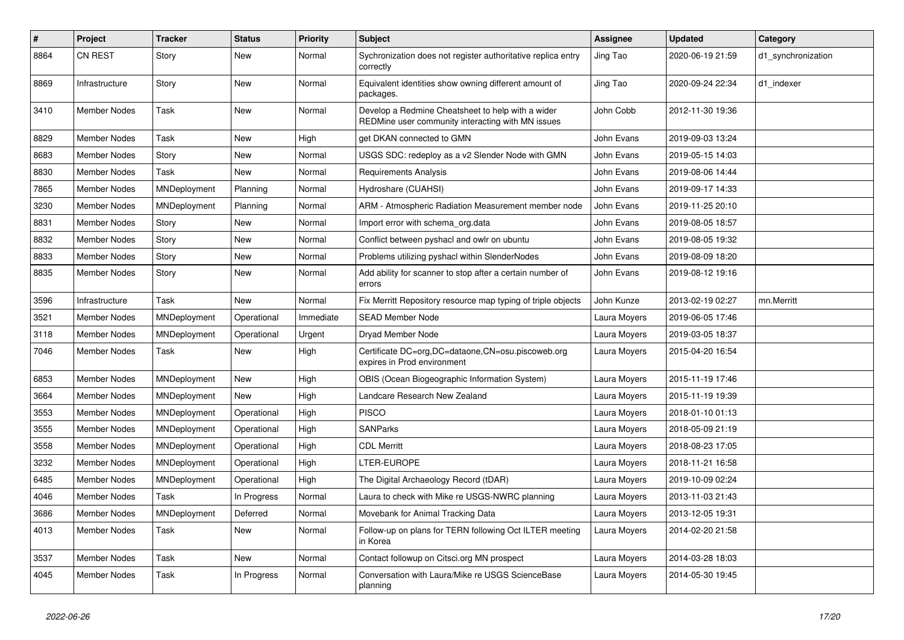| $\pmb{\#}$ | Project             | <b>Tracker</b> | <b>Status</b> | <b>Priority</b> | Subject                                                                                                | <b>Assignee</b> | <b>Updated</b>   | Category           |
|------------|---------------------|----------------|---------------|-----------------|--------------------------------------------------------------------------------------------------------|-----------------|------------------|--------------------|
| 8864       | <b>CN REST</b>      | Story          | New           | Normal          | Sychronization does not register authoritative replica entry<br>correctly                              | Jing Tao        | 2020-06-19 21:59 | d1 synchronization |
| 8869       | Infrastructure      | Story          | <b>New</b>    | Normal          | Equivalent identities show owning different amount of<br>packages.                                     | Jing Tao        | 2020-09-24 22:34 | d1_indexer         |
| 3410       | <b>Member Nodes</b> | Task           | New           | Normal          | Develop a Redmine Cheatsheet to help with a wider<br>REDMine user community interacting with MN issues | John Cobb       | 2012-11-30 19:36 |                    |
| 8829       | <b>Member Nodes</b> | Task           | <b>New</b>    | High            | get DKAN connected to GMN                                                                              | John Evans      | 2019-09-03 13:24 |                    |
| 8683       | Member Nodes        | Story          | New           | Normal          | USGS SDC: redeploy as a v2 Slender Node with GMN                                                       | John Evans      | 2019-05-15 14:03 |                    |
| 8830       | Member Nodes        | Task           | New           | Normal          | Requirements Analysis                                                                                  | John Evans      | 2019-08-06 14:44 |                    |
| 7865       | <b>Member Nodes</b> | MNDeployment   | Planning      | Normal          | Hydroshare (CUAHSI)                                                                                    | John Evans      | 2019-09-17 14:33 |                    |
| 3230       | <b>Member Nodes</b> | MNDeployment   | Planning      | Normal          | ARM - Atmospheric Radiation Measurement member node                                                    | John Evans      | 2019-11-25 20:10 |                    |
| 8831       | Member Nodes        | Story          | New           | Normal          | Import error with schema_org.data                                                                      | John Evans      | 2019-08-05 18:57 |                    |
| 8832       | <b>Member Nodes</b> | Story          | New           | Normal          | Conflict between pyshacl and owlr on ubuntu                                                            | John Evans      | 2019-08-05 19:32 |                    |
| 8833       | <b>Member Nodes</b> | Story          | New           | Normal          | Problems utilizing pyshacl within SlenderNodes                                                         | John Evans      | 2019-08-09 18:20 |                    |
| 8835       | Member Nodes        | Story          | New           | Normal          | Add ability for scanner to stop after a certain number of<br>errors                                    | John Evans      | 2019-08-12 19:16 |                    |
| 3596       | Infrastructure      | Task           | New           | Normal          | Fix Merritt Repository resource map typing of triple objects                                           | John Kunze      | 2013-02-19 02:27 | mn.Merritt         |
| 3521       | Member Nodes        | MNDeployment   | Operational   | Immediate       | <b>SEAD Member Node</b>                                                                                | Laura Moyers    | 2019-06-05 17:46 |                    |
| 3118       | <b>Member Nodes</b> | MNDeployment   | Operational   | Urgent          | Dryad Member Node                                                                                      | Laura Moyers    | 2019-03-05 18:37 |                    |
| 7046       | <b>Member Nodes</b> | Task           | New           | High            | Certificate DC=org,DC=dataone,CN=osu.piscoweb.org<br>expires in Prod environment                       | Laura Moyers    | 2015-04-20 16:54 |                    |
| 6853       | <b>Member Nodes</b> | MNDeployment   | New           | High            | OBIS (Ocean Biogeographic Information System)                                                          | Laura Moyers    | 2015-11-19 17:46 |                    |
| 3664       | Member Nodes        | MNDeployment   | New           | High            | Landcare Research New Zealand                                                                          | Laura Moyers    | 2015-11-19 19:39 |                    |
| 3553       | <b>Member Nodes</b> | MNDeployment   | Operational   | High            | <b>PISCO</b>                                                                                           | Laura Moyers    | 2018-01-10 01:13 |                    |
| 3555       | Member Nodes        | MNDeployment   | Operational   | High            | <b>SANParks</b>                                                                                        | Laura Moyers    | 2018-05-09 21:19 |                    |
| 3558       | <b>Member Nodes</b> | MNDeployment   | Operational   | High            | <b>CDL Merritt</b>                                                                                     | Laura Moyers    | 2018-08-23 17:05 |                    |
| 3232       | Member Nodes        | MNDeployment   | Operational   | High            | LTER-EUROPE                                                                                            | Laura Moyers    | 2018-11-21 16:58 |                    |
| 6485       | <b>Member Nodes</b> | MNDeployment   | Operational   | High            | The Digital Archaeology Record (tDAR)                                                                  | Laura Moyers    | 2019-10-09 02:24 |                    |
| 4046       | <b>Member Nodes</b> | Task           | In Progress   | Normal          | Laura to check with Mike re USGS-NWRC planning                                                         | Laura Moyers    | 2013-11-03 21:43 |                    |
| 3686       | Member Nodes        | MNDeployment   | Deferred      | Normal          | Movebank for Animal Tracking Data                                                                      | Laura Moyers    | 2013-12-05 19:31 |                    |
| 4013       | Member Nodes        | Task           | New           | Normal          | Follow-up on plans for TERN following Oct ILTER meeting<br>in Korea                                    | Laura Moyers    | 2014-02-20 21:58 |                    |
| 3537       | Member Nodes        | Task           | New           | Normal          | Contact followup on Citsci.org MN prospect                                                             | Laura Moyers    | 2014-03-28 18:03 |                    |
| 4045       | Member Nodes        | Task           | In Progress   | Normal          | Conversation with Laura/Mike re USGS ScienceBase<br>planning                                           | Laura Moyers    | 2014-05-30 19:45 |                    |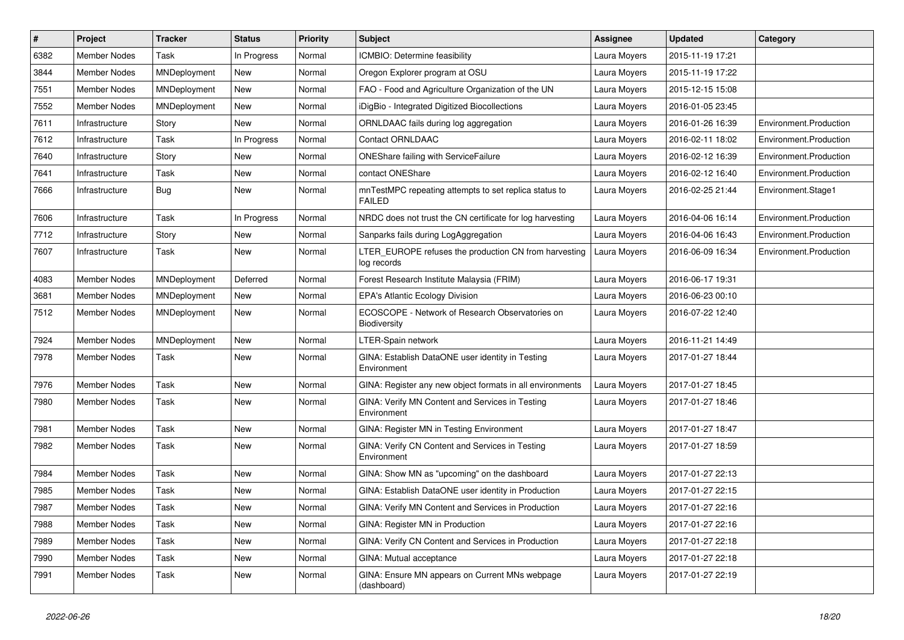| $\pmb{\#}$ | Project             | <b>Tracker</b>      | <b>Status</b> | <b>Priority</b> | <b>Subject</b>                                                         | <b>Assignee</b> | <b>Updated</b>   | Category               |
|------------|---------------------|---------------------|---------------|-----------------|------------------------------------------------------------------------|-----------------|------------------|------------------------|
| 6382       | <b>Member Nodes</b> | Task                | In Progress   | Normal          | ICMBIO: Determine feasibility                                          | Laura Moyers    | 2015-11-19 17:21 |                        |
| 3844       | <b>Member Nodes</b> | MNDeployment        | New           | Normal          | Oregon Explorer program at OSU                                         | Laura Moyers    | 2015-11-19 17:22 |                        |
| 7551       | Member Nodes        | MNDeployment        | New           | Normal          | FAO - Food and Agriculture Organization of the UN                      | Laura Moyers    | 2015-12-15 15:08 |                        |
| 7552       | Member Nodes        | MNDeployment        | New           | Normal          | iDigBio - Integrated Digitized Biocollections                          | Laura Moyers    | 2016-01-05 23:45 |                        |
| 7611       | Infrastructure      | Story               | New           | Normal          | ORNLDAAC fails during log aggregation                                  | Laura Moyers    | 2016-01-26 16:39 | Environment.Production |
| 7612       | Infrastructure      | Task                | In Progress   | Normal          | Contact ORNLDAAC                                                       | Laura Moyers    | 2016-02-11 18:02 | Environment.Production |
| 7640       | Infrastructure      | Story               | <b>New</b>    | Normal          | <b>ONEShare failing with ServiceFailure</b>                            | Laura Moyers    | 2016-02-12 16:39 | Environment.Production |
| 7641       | Infrastructure      | Task                | New           | Normal          | contact ONEShare                                                       | Laura Moyers    | 2016-02-12 16:40 | Environment.Production |
| 7666       | Infrastructure      | Bug                 | New           | Normal          | mnTestMPC repeating attempts to set replica status to<br><b>FAILED</b> | Laura Moyers    | 2016-02-25 21:44 | Environment.Stage1     |
| 7606       | Infrastructure      | Task                | In Progress   | Normal          | NRDC does not trust the CN certificate for log harvesting              | Laura Moyers    | 2016-04-06 16:14 | Environment.Production |
| 7712       | Infrastructure      | Story               | New           | Normal          | Sanparks fails during LogAggregation                                   | Laura Moyers    | 2016-04-06 16:43 | Environment.Production |
| 7607       | Infrastructure      | Task                | New           | Normal          | LTER_EUROPE refuses the production CN from harvesting<br>log records   | Laura Moyers    | 2016-06-09 16:34 | Environment.Production |
| 4083       | <b>Member Nodes</b> | MNDeployment        | Deferred      | Normal          | Forest Research Institute Malaysia (FRIM)                              | Laura Moyers    | 2016-06-17 19:31 |                        |
| 3681       | Member Nodes        | MNDeployment        | New           | Normal          | <b>EPA's Atlantic Ecology Division</b>                                 | Laura Moyers    | 2016-06-23 00:10 |                        |
| 7512       | Member Nodes        | MNDeployment        | New           | Normal          | ECOSCOPE - Network of Research Observatories on<br><b>Biodiversity</b> | Laura Moyers    | 2016-07-22 12:40 |                        |
| 7924       | Member Nodes        | <b>MNDeployment</b> | New           | Normal          | LTER-Spain network                                                     | Laura Moyers    | 2016-11-21 14:49 |                        |
| 7978       | Member Nodes        | Task                | New           | Normal          | GINA: Establish DataONE user identity in Testing<br>Environment        | Laura Moyers    | 2017-01-27 18:44 |                        |
| 7976       | Member Nodes        | Task                | New           | Normal          | GINA: Register any new object formats in all environments              | Laura Moyers    | 2017-01-27 18:45 |                        |
| 7980       | Member Nodes        | Task                | New           | Normal          | GINA: Verify MN Content and Services in Testing<br>Environment         | Laura Moyers    | 2017-01-27 18:46 |                        |
| 7981       | <b>Member Nodes</b> | Task                | New           | Normal          | GINA: Register MN in Testing Environment                               | Laura Moyers    | 2017-01-27 18:47 |                        |
| 7982       | Member Nodes        | Task                | New           | Normal          | GINA: Verify CN Content and Services in Testing<br>Environment         | Laura Moyers    | 2017-01-27 18:59 |                        |
| 7984       | Member Nodes        | Task                | New           | Normal          | GINA: Show MN as "upcoming" on the dashboard                           | Laura Moyers    | 2017-01-27 22:13 |                        |
| 7985       | <b>Member Nodes</b> | Task                | New           | Normal          | GINA: Establish DataONE user identity in Production                    | Laura Moyers    | 2017-01-27 22:15 |                        |
| 7987       | Member Nodes        | Task                | New           | Normal          | GINA: Verify MN Content and Services in Production                     | Laura Moyers    | 2017-01-27 22:16 |                        |
| 7988       | Member Nodes        | Task                | New           | Normal          | GINA: Register MN in Production                                        | Laura Moyers    | 2017-01-27 22:16 |                        |
| 7989       | Member Nodes        | Task                | New           | Normal          | GINA: Verify CN Content and Services in Production                     | Laura Moyers    | 2017-01-27 22:18 |                        |
| 7990       | Member Nodes        | Task                | New           | Normal          | GINA: Mutual acceptance                                                | Laura Moyers    | 2017-01-27 22:18 |                        |
| 7991       | Member Nodes        | Task                | New           | Normal          | GINA: Ensure MN appears on Current MNs webpage<br>(dashboard)          | Laura Moyers    | 2017-01-27 22:19 |                        |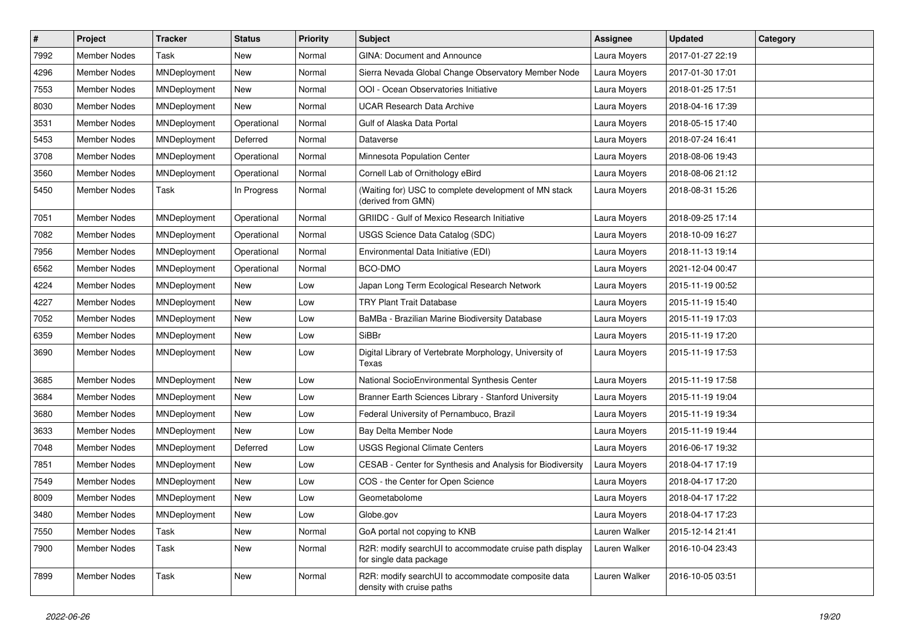| $\vert$ # | Project             | <b>Tracker</b> | <b>Status</b> | <b>Priority</b> | <b>Subject</b>                                                                     | Assignee      | <b>Updated</b>   | Category |
|-----------|---------------------|----------------|---------------|-----------------|------------------------------------------------------------------------------------|---------------|------------------|----------|
| 7992      | <b>Member Nodes</b> | Task           | New           | Normal          | GINA: Document and Announce                                                        | Laura Moyers  | 2017-01-27 22:19 |          |
| 4296      | <b>Member Nodes</b> | MNDeployment   | <b>New</b>    | Normal          | Sierra Nevada Global Change Observatory Member Node                                | Laura Moyers  | 2017-01-30 17:01 |          |
| 7553      | Member Nodes        | MNDeployment   | New           | Normal          | OOI - Ocean Observatories Initiative                                               | Laura Moyers  | 2018-01-25 17:51 |          |
| 8030      | Member Nodes        | MNDeployment   | <b>New</b>    | Normal          | <b>UCAR Research Data Archive</b>                                                  | Laura Moyers  | 2018-04-16 17:39 |          |
| 3531      | <b>Member Nodes</b> | MNDeployment   | Operational   | Normal          | Gulf of Alaska Data Portal                                                         | Laura Moyers  | 2018-05-15 17:40 |          |
| 5453      | Member Nodes        | MNDeployment   | Deferred      | Normal          | Dataverse                                                                          | Laura Moyers  | 2018-07-24 16:41 |          |
| 3708      | <b>Member Nodes</b> | MNDeployment   | Operational   | Normal          | Minnesota Population Center                                                        | Laura Moyers  | 2018-08-06 19:43 |          |
| 3560      | <b>Member Nodes</b> | MNDeployment   | Operational   | Normal          | Cornell Lab of Ornithology eBird                                                   | Laura Moyers  | 2018-08-06 21:12 |          |
| 5450      | <b>Member Nodes</b> | Task           | In Progress   | Normal          | (Waiting for) USC to complete development of MN stack<br>(derived from GMN)        | Laura Moyers  | 2018-08-31 15:26 |          |
| 7051      | <b>Member Nodes</b> | MNDeployment   | Operational   | Normal          | <b>GRIIDC</b> - Gulf of Mexico Research Initiative                                 | Laura Moyers  | 2018-09-25 17:14 |          |
| 7082      | Member Nodes        | MNDeployment   | Operational   | Normal          | USGS Science Data Catalog (SDC)                                                    | Laura Moyers  | 2018-10-09 16:27 |          |
| 7956      | <b>Member Nodes</b> | MNDeployment   | Operational   | Normal          | Environmental Data Initiative (EDI)                                                | Laura Moyers  | 2018-11-13 19:14 |          |
| 6562      | Member Nodes        | MNDeployment   | Operational   | Normal          | BCO-DMO                                                                            | Laura Moyers  | 2021-12-04 00:47 |          |
| 4224      | <b>Member Nodes</b> | MNDeployment   | New           | Low             | Japan Long Term Ecological Research Network                                        | Laura Moyers  | 2015-11-19 00:52 |          |
| 4227      | <b>Member Nodes</b> | MNDeployment   | New           | Low             | <b>TRY Plant Trait Database</b>                                                    | Laura Moyers  | 2015-11-19 15:40 |          |
| 7052      | <b>Member Nodes</b> | MNDeployment   | New           | Low             | BaMBa - Brazilian Marine Biodiversity Database                                     | Laura Moyers  | 2015-11-19 17:03 |          |
| 6359      | <b>Member Nodes</b> | MNDeployment   | New           | Low             | <b>SiBBr</b>                                                                       | Laura Moyers  | 2015-11-19 17:20 |          |
| 3690      | Member Nodes        | MNDeployment   | New           | Low             | Digital Library of Vertebrate Morphology, University of<br>Texas                   | Laura Moyers  | 2015-11-19 17:53 |          |
| 3685      | <b>Member Nodes</b> | MNDeployment   | New           | Low             | National SocioEnvironmental Synthesis Center                                       | Laura Moyers  | 2015-11-19 17:58 |          |
| 3684      | <b>Member Nodes</b> | MNDeployment   | <b>New</b>    | Low             | Branner Earth Sciences Library - Stanford University                               | Laura Moyers  | 2015-11-19 19:04 |          |
| 3680      | Member Nodes        | MNDeployment   | New           | Low             | Federal University of Pernambuco, Brazil                                           | Laura Moyers  | 2015-11-19 19:34 |          |
| 3633      | Member Nodes        | MNDeployment   | New           | Low             | Bay Delta Member Node                                                              | Laura Moyers  | 2015-11-19 19:44 |          |
| 7048      | Member Nodes        | MNDeployment   | Deferred      | Low             | <b>USGS Regional Climate Centers</b>                                               | Laura Moyers  | 2016-06-17 19:32 |          |
| 7851      | Member Nodes        | MNDeployment   | New           | Low             | CESAB - Center for Synthesis and Analysis for Biodiversity                         | Laura Moyers  | 2018-04-17 17:19 |          |
| 7549      | Member Nodes        | MNDeployment   | New           | Low             | COS - the Center for Open Science                                                  | Laura Moyers  | 2018-04-17 17:20 |          |
| 8009      | <b>Member Nodes</b> | MNDeployment   | New           | Low             | Geometabolome                                                                      | Laura Moyers  | 2018-04-17 17:22 |          |
| 3480      | <b>Member Nodes</b> | MNDeployment   | New           | Low             | Globe.gov                                                                          | Laura Moyers  | 2018-04-17 17:23 |          |
| 7550      | Member Nodes        | Task           | New           | Normal          | GoA portal not copying to KNB                                                      | Lauren Walker | 2015-12-14 21:41 |          |
| 7900      | Member Nodes        | Task           | New           | Normal          | R2R: modify searchUI to accommodate cruise path display<br>for single data package | Lauren Walker | 2016-10-04 23:43 |          |
| 7899      | Member Nodes        | Task           | New           | Normal          | R2R: modify searchUI to accommodate composite data<br>density with cruise paths    | Lauren Walker | 2016-10-05 03:51 |          |